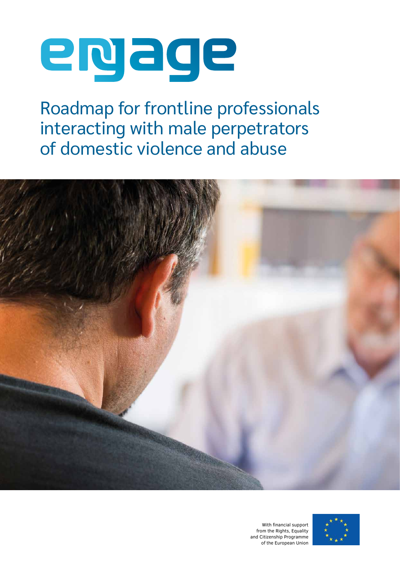# epage

Roadmap for frontline professionals interacting with male perpetrators of domestic violence and abuse



With financial support from the Rights, Equality and Citizenship Programme of the European Union

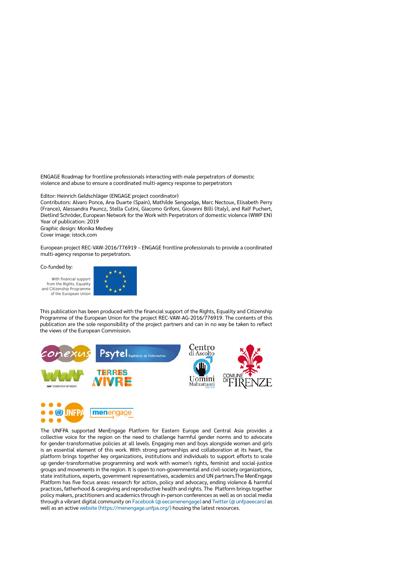ENGAGE Roadmap for frontline professionals interacting with male perpetrators of domestic violence and abuse to ensure a coordinated multi-agency response to perpetrators

Editor: Heinrich Geldschläger (ENGAGE project coordinator)

Contributors: Alvaro Ponce, Ana Duarte (Spain), Mathilde Sengoelge, Marc Nectoux, Elisabeth Perry (France), Alessandra Pauncz, Stella Cutini, Giacomo Grifoni, Giovanni Billi (Italy), and Ralf Puchert, Dietlind Schröder, European Network for the Work with Perpetrators of domestic violence (WWP EN) Year of publication: 2019

Graphic design: Monika Medvey

Cover image: istock.com

European project REC-VAW-2016/776919 – ENGAGE frontline professionals to provide a coordinated multi-agency response to perpetrators.

Co-funded by:

With financial support from the Rights, Equality and Citizenship Programme of the European Union



This publication has been produced with the financial support of the Rights, Equality and Citizenship Programme of the European Union for the project REC-VAW-AG-2016/776919. The contents of this publication are the sole responsibility of the project partners and can in no way be taken to reflect the views of the European Commission.





The UNFPA supported MenEngage Platform for Eastern Europe and Central Asia provides a collective voice for the region on the need to challenge harmful gender norms and to advocate for gender-transformative policies at all levels. Engaging men and boys alongside women and girls is an essential element of this work. With strong partnerships and collaboration at its heart, the platform brings together key organizations, institutions and individuals to support efforts to scale up gender-transformative programming and work with women's rights, feminist and social-justice groups and movements in the region. It is open to non-governmental and civil-society organizations, state institutions, experts, government representatives, academics and UN partners.The MenEngage Platform has five focus areas: research for action, policy and advocacy, ending violence & harmful practices, fatherhood & caregiving and reproductive health and rights. The Platform brings together policy makers, practitioners and academics through in-person conferences as well as on social media through a vibrant digital community on Facebook ([@eecamenengage](https://www.facebook.com/eecamenengage/)) and [Twitter \(@unfpaeecaro\)](https://twitter.com/unfpaeecaro?lang=en) as well as an active [website \(https://menengage.unfpa.org/\)](https://menengage.unfpa.org/en) housing the latest resources.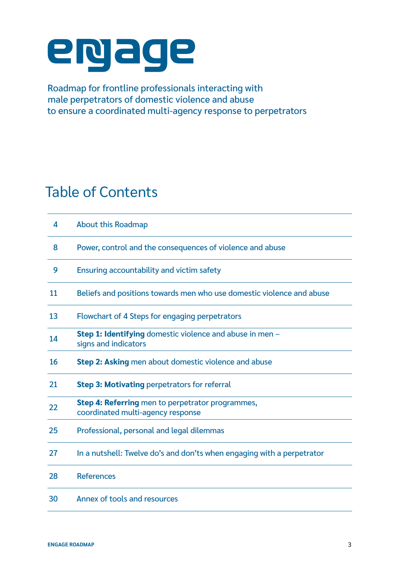## epage

Roadmap for frontline professionals interacting with male perpetrators of domestic violence and abuse to ensure a coordinated multi-agency response to perpetrators

## Table of Contents

| 4  | <b>About this Roadmap</b>                                                               |
|----|-----------------------------------------------------------------------------------------|
| 8  | Power, control and the consequences of violence and abuse                               |
| 9  | Ensuring accountability and victim safety                                               |
| 11 | Beliefs and positions towards men who use domestic violence and abuse                   |
| 13 | <b>Flowchart of 4 Steps for engaging perpetrators</b>                                   |
| 14 | <b>Step 1: Identifying</b> domestic violence and abuse in men -<br>signs and indicators |
| 16 | <b>Step 2: Asking</b> men about domestic violence and abuse                             |
| 21 | <b>Step 3: Motivating perpetrators for referral</b>                                     |
| 22 | Step 4: Referring men to perpetrator programmes,<br>coordinated multi-agency response   |
| 25 | Professional, personal and legal dilemmas                                               |
| 27 | In a nutshell: Twelve do's and don'ts when engaging with a perpetrator                  |
| 28 | <b>References</b>                                                                       |
| 30 | Annex of tools and resources                                                            |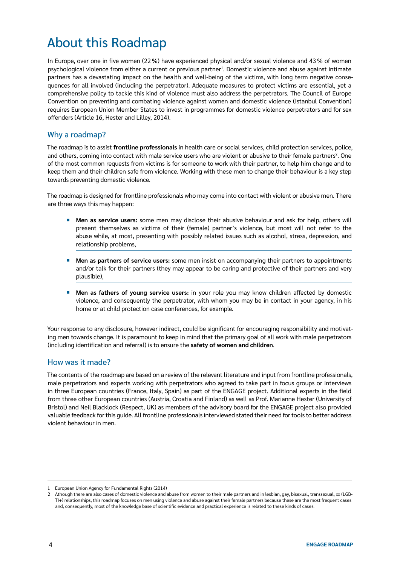## About this Roadmap

In Europe, over one in five women (22 %) have experienced physical and/or sexual violence and 43 % of women psychological violence from either a current or previous partner<sup>1</sup>. Domestic violence and abuse against intimate partners has a devastating impact on the health and well-being of the victims, with long term negative consequences for all involved (including the perpetrator). Adequate measures to protect victims are essential, yet a comprehensive policy to tackle this kind of violence must also address the perpetrators. The Council of Europe Convention on preventing and combating violence against women and domestic violence (Istanbul Convention) requires European Union Member States to invest in programmes for domestic violence perpetrators and for sex offenders (Article 16, Hester and Lilley, 2014).

#### Why a roadmap?

The roadmap is to assist **frontline professionals** in health care or social services, child protection services, police, and others, coming into contact with male service users who are violent or abusive to their female partners<sup>2</sup>. One of the most common requests from victims is for someone to work with their partner, to help him change and to keep them and their children safe from violence. Working with these men to change their behaviour is a key step towards preventing domestic violence.

The roadmap is designed for frontline professionals who may come into contact with violent or abusive men. There are three ways this may happen:

- ¡ **Men as service users:** some men may disclose their abusive behaviour and ask for help, others will present themselves as victims of their (female) partner's violence, but most will not refer to the abuse while, at most, presenting with possibly related issues such as alcohol, stress, depression, and relationship problems,
- **EXTER 10 Men as partners of service users:** some men insist on accompanying their partners to appointments and/or talk for their partners (they may appear to be caring and protective of their partners and very plausible),
- ¡ **Men as fathers of young service users:** in your role you may know children affected by domestic violence, and consequently the perpetrator, with whom you may be in contact in your agency, in his home or at child protection case conferences, for example.

Your response to any disclosure, however indirect, could be significant for encouraging responsibility and motivating men towards change. It is paramount to keep in mind that the primary goal of all work with male perpetrators (including identification and referral) is to ensure the **safety of women and children**.

#### How was it made?

The contents of the roadmap are based on a review of the relevant literature and input from frontline professionals, male perpetrators and experts working with perpetrators who agreed to take part in focus groups or interviews in three European countries (France, Italy, Spain) as part of the ENGAGE project. Additional experts in the field from three other European countries (Austria, Croatia and Finland) as well as Prof. Marianne Hester (University of Bristol) and Neil Blacklock (Respect, UK) as members of the advisory board for the ENGAGE project also provided valuable feedback for this guide. All frontline professionals interviewed stated their need for tools to better address violent behaviour in men.

<sup>1</sup> European Union Agency for Fundamental Rights (2014)

<sup>2</sup> Athough there are also cases of domestic violence and abuse from women to their male partners and in lesbian, gay, bisexual, transsexual, xx (LGB-TI+) relationships, this roadmap focuses on men using violence and abuse against their female partners because these are the most frequent cases and, consequently, most of the knowledge base of scientific evidence and practical experience is related to these kinds of cases.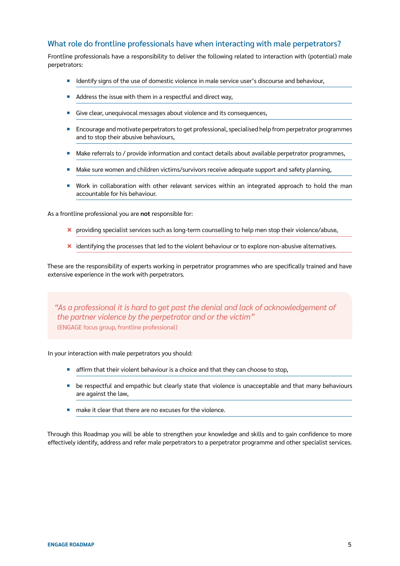#### What role do frontline professionals have when interacting with male perpetrators?

Frontline professionals have a responsibility to deliver the following related to interaction with (potential) male perpetrators:

- **•** Identify signs of the use of domestic violence in male service user's discourse and behaviour,
- Address the issue with them in a respectful and direct way,
- Give clear, unequivocal messages about violence and its consequences,
- **E** Encourage and motivate perpetrators to get professional, specialised help from perpetrator programmes and to stop their abusive behaviours,
- Make referrals to / provide information and contact details about available perpetrator programmes,
- Make sure women and children victims/survivors receive adequate support and safety planning,
- ¡ Work in collaboration with other relevant services within an integrated approach to hold the man accountable for his behaviour.

As a frontline professional you are **not** responsible for:

- \* providing specialist services such as long-term counselling to help men stop their violence/abuse,
- \* identifying the processes that led to the violent behaviour or to explore non-abusive alternatives.

These are the responsibility of experts working in perpetrator programmes who are specifically trained and have extensive experience in the work with perpetrators.

*"As a professional it is hard to get past the denial and lack of acknowledgement of the partner violence by the perpetrator and or the victim"*  (ENGAGE focus group, frontline professional)

In your interaction with male perpetrators you should:

- affirm that their violent behaviour is a choice and that they can choose to stop,
- be respectful and empathic but clearly state that violence is unacceptable and that many behaviours are against the law,
- make it clear that there are no excuses for the violence

Through this Roadmap you will be able to strengthen your knowledge and skills and to gain confidence to more effectively identify, address and refer male perpetrators to a perpetrator programme and other specialist services.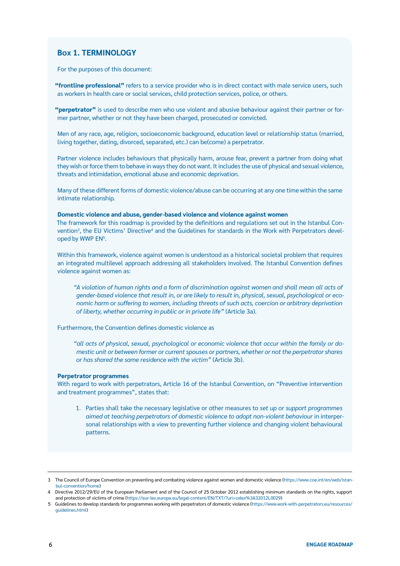#### **Box 1. TERMINOLOGY**

For the purposes of this document:

**"frontline professional"** refers to a service provider who is in direct contact with male service users, such as workers in health care or social services, child protection services, police, or others.

**"perpetrator"** is used to describe men who use violent and abusive behaviour against their partner or former partner, whether or not they have been charged, prosecuted or convicted.

Men of any race, age, religion, socioeconomic background, education level or relationship status (married, living together, dating, divorced, separated, etc.) can be(come) a perpetrator.

Partner violence includes behaviours that physically harm, arouse fear, prevent a partner from doing what they wish or force them to behave in ways they do not want. It includes the use of physical and sexual violence, threats and intimidation, emotional abuse and economic deprivation.

Many of these different forms of domestic violence/abuse can be occurring at any one time within the same intimate relationship.

#### **Domestic violence and abuse, gender-based violence and violence against women**

The framework for this roadmap is provided by the definitions and regulations set out in the Istanbul Convention3 , the EU Victims' Directive4 and the Guidelines for standards in the Work with Perpetrators developed by WWP EN<sup>5</sup>.

Within this framework, violence against women is understood as a historical societal problem that requires an integrated multilevel approach addressing all stakeholders involved. The Istanbul Convention defines violence against women as:

*"A violation of human rights and a form of discrimination against women and shall mean all acts of gender-based violence that result in, or are likely to result in, physical, sexual, psychological or economic harm or suffering to women, including threats of such acts, coercion or arbitrary deprivation of liberty, whether occurring in public or in private life"* (Article 3a).

Furthermore, the Convention defines domestic violence as

*"all acts of physical, sexual, psychological or economic violence that occur within the family or domestic unit or between former or current spouses or partners, whether or not the perpetrator shares or has shared the same residence with the victim"* (Article 3b).

#### **Perpetrator programmes**

With regard to work with perpetrators, Article 16 of the Istanbul Convention, on "Preventive intervention and treatment programmes", states that:

1. Parties shall take the necessary legislative or other measures to *set up or support programmes aimed at teaching perpetrators of domestic violence to adopt non-violent behaviour* in interpersonal relationships with a view to preventing further violence and changing violent behavioural patterns.

<sup>3</sup> The Council of Europe Convention on preventing and combating violence against women and domestic violence ([https://www.coe.int/en/web/istan](https://www.coe.int/en/web/istanbul-convention/home)[bul-convention/home\)](https://www.coe.int/en/web/istanbul-convention/home)

<sup>4</sup> Directive 2012/29/EU of the European Parliament and of the Council of 25 October 2012 establishing minimum standards on the rights, support and protection of victims of crime (<https://eur-lex.europa.eu/legal-content/EN/TXT/?uri=celex%3A32012L0029>)

<sup>5</sup> Guidelines to develop standards for programmes working with perpetrators of domestic violence ([https://www.work-with-perpetrators.eu/resources/](https://www.work-with-perpetrators.eu/resources/guidelines.html) [guidelines.html\)](https://www.work-with-perpetrators.eu/resources/guidelines.html)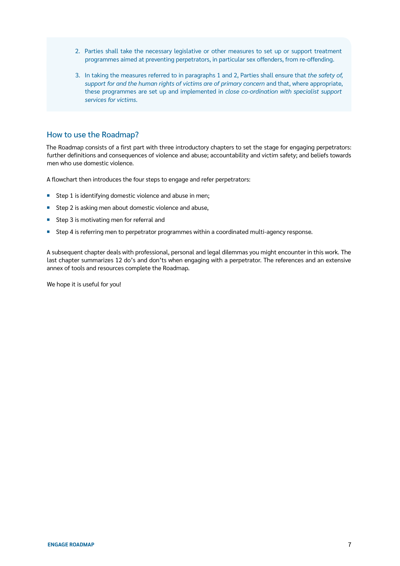- 2. Parties shall take the necessary legislative or other measures to set up or support treatment programmes aimed at preventing perpetrators, in particular sex offenders, from re-offending.
- 3. In taking the measures referred to in paragraphs 1 and 2, Parties shall ensure that *the safety of, support for and the human rights of victims are of primary concern* and that, where appropriate, these programmes are set up and implemented in *close co-ordination with specialist support services for victims*.

#### How to use the Roadmap?

The Roadmap consists of a first part with three introductory chapters to set the stage for engaging perpetrators: further definitions and consequences of violence and abuse; accountability and victim safety; and beliefs towards men who use domestic violence.

A flowchart then introduces the four steps to engage and refer perpetrators:

- Step 1 is identifying domestic violence and abuse in men;
- Step 2 is asking men about domestic violence and abuse,
- Step 3 is motivating men for referral and
- Step 4 is referring men to perpetrator programmes within a coordinated multi-agency response.

A subsequent chapter deals with professional, personal and legal dilemmas you might encounter in this work. The last chapter summarizes 12 do's and don'ts when engaging with a perpetrator. The references and an extensive annex of tools and resources complete the Roadmap.

We hope it is useful for you!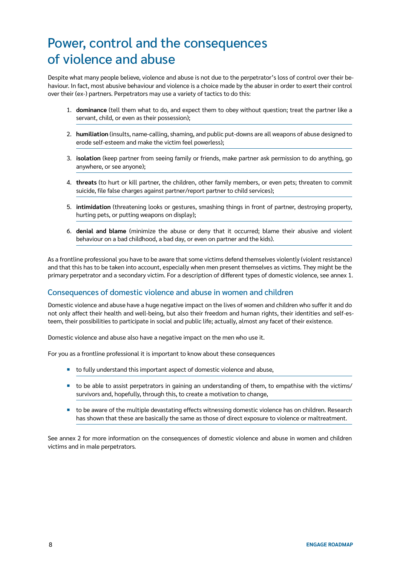## Power, control and the consequences of violence and abuse

Despite what many people believe, violence and abuse is not due to the perpetrator's loss of control over their behaviour. In fact, most abusive behaviour and violence is a choice made by the abuser in order to exert their control over their (ex-) partners. Perpetrators may use a variety of tactics to do this:

- 1. **dominance** (tell them what to do, and expect them to obey without question; treat the partner like a servant, child, or even as their possession);
- 2. **humiliation** (insults, name-calling, shaming, and public put-downs are all weapons of abuse designed to erode self-esteem and make the victim feel powerless);
- 3. **isolation** (keep partner from seeing family or friends, make partner ask permission to do anything, go anywhere, or see anyone);
- 4. **threats** (to hurt or kill partner, the children, other family members, or even pets; threaten to commit suicide, file false charges against partner/report partner to child services);
- 5. **intimidation** (threatening looks or gestures, smashing things in front of partner, destroying property, hurting pets, or putting weapons on display);
- 6. **denial and blame** (minimize the abuse or deny that it occurred; blame their abusive and violent behaviour on a bad childhood, a bad day, or even on partner and the kids).

As a frontline professional you have to be aware that some victims defend themselves violently (violent resistance) and that this has to be taken into account, especially when men present themselves as victims. They might be the primary perpetrator and a secondary victim. For a description of different types of domestic violence, see annex 1.

#### Consequences of domestic violence and abuse in women and children

Domestic violence and abuse have a huge negative impact on the lives of women and children who suffer it and do not only affect their health and well-being, but also their freedom and human rights, their identities and self-esteem, their possibilities to participate in social and public life; actually, almost any facet of their existence.

Domestic violence and abuse also have a negative impact on the men who use it.

For you as a frontline professional it is important to know about these consequences

- to fully understand this important aspect of domestic violence and abuse,
- to be able to assist perpetrators in gaining an understanding of them, to empathise with the victims/ survivors and, hopefully, through this, to create a motivation to change,
- to be aware of the multiple devastating effects witnessing domestic violence has on children. Research has shown that these are basically the same as those of direct exposure to violence or maltreatment.

See annex 2 for more information on the consequences of domestic violence and abuse in women and children victims and in male perpetrators.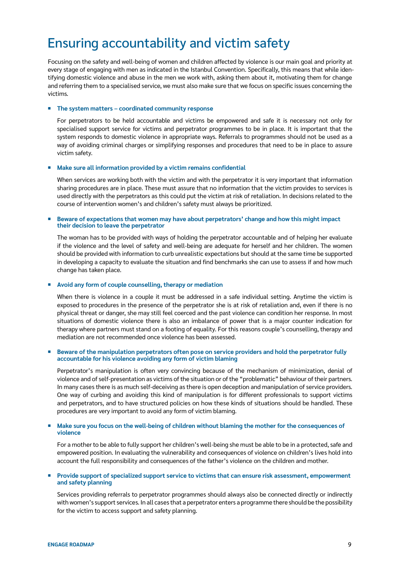### Ensuring accountability and victim safety

Focusing on the safety and well-being of women and children affected by violence is our main goal and priority at every stage of engaging with men as indicated in the Istanbul Convention. Specifically, this means that while identifying domestic violence and abuse in the men we work with, asking them about it, motivating them for change and referring them to a specialised service, we must also make sure that we focus on specific issues concerning the victims.

#### ¡ **The system matters – coordinated community response**

For perpetrators to be held accountable and victims be empowered and safe it is necessary not only for specialised support service for victims and perpetrator programmes to be in place. It is important that the system responds to domestic violence in appropriate ways. Referrals to programmes should not be used as a way of avoiding criminal charges or simplifying responses and procedures that need to be in place to assure victim safety.

#### **Make sure all information provided by a victim remains confidential**

When services are working both with the victim and with the perpetrator it is very important that information sharing procedures are in place. These must assure that no information that the victim provides to services is used directly with the perpetrators as this could put the victim at risk of retaliation. In decisions related to the course of intervention women's and children's safety must always be prioritized.

#### Beware of expectations that women may have about perpetrators' change and how this might impact **their decision to leave the perpetrator**

The woman has to be provided with ways of holding the perpetrator accountable and of helping her evaluate if the violence and the level of safety and well-being are adequate for herself and her children. The women should be provided with information to curb unrealistic expectations but should at the same time be supported in developing a capacity to evaluate the situation and find benchmarks she can use to assess if and how much change has taken place.

#### ¡ **Avoid any form of couple counselling, therapy or mediation**

When there is violence in a couple it must be addressed in a safe individual setting. Anytime the victim is exposed to procedures in the presence of the perpetrator she is at risk of retaliation and, even if there is no physical threat or danger, she may still feel coerced and the past violence can condition her response. In most situations of domestic violence there is also an imbalance of power that is a major counter indication for therapy where partners must stand on a footing of equality. For this reasons couple's counselling, therapy and mediation are not recommended once violence has been assessed.

#### ¡ **Beware of the manipulation perpetrators often pose on service providers and hold the perpetrator fully accountable for his violence avoiding any form of victim blaming**

Perpetrator's manipulation is often very convincing because of the mechanism of minimization, denial of violence and of self-presentation as victims of the situation or of the "problematic" behaviour of their partners. In many cases there is as much self-deceiving as there is open deception and manipulation of service providers. One way of curbing and avoiding this kind of manipulation is for different professionals to support victims and perpetrators, and to have structured policies on how these kinds of situations should be handled. These procedures are very important to avoid any form of victim blaming.

#### Make sure you focus on the well-being of children without blaming the mother for the consequences of **violence**

For a mother to be able to fully support her children's well-being she must be able to be in a protected, safe and empowered position. In evaluating the vulnerability and consequences of violence on children's lives hold into account the full responsibility and consequences of the father's violence on the children and mother.

#### ¡ **Provide support of specialized support service to victims that can ensure risk assessment, empowerment and safety planning**

Services providing referrals to perpetrator programmes should always also be connected directly or indirectly with women's support services. In all cases that a perpetrator enters a programme there should be the possibility for the victim to access support and safety planning.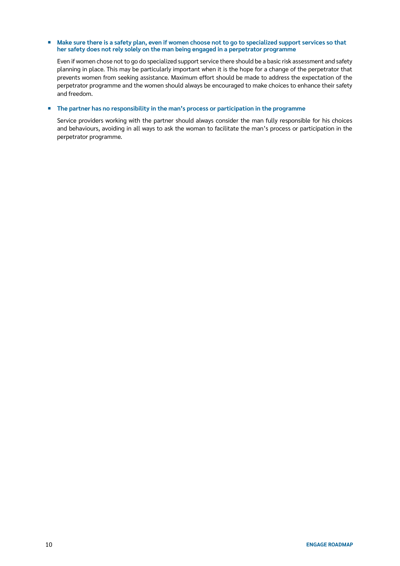#### ■ Make sure there is a safety plan, even if women choose not to go to specialized support services so that **her safety does not rely solely on the man being engaged in a perpetrator programme**

Even if women chose not to go do specialized support service there should be a basic risk assessment and safety planning in place. This may be particularly important when it is the hope for a change of the perpetrator that prevents women from seeking assistance. Maximum effort should be made to address the expectation of the perpetrator programme and the women should always be encouraged to make choices to enhance their safety and freedom.

#### ¡ **The partner has no responsibility in the man's process or participation in the programme**

Service providers working with the partner should always consider the man fully responsible for his choices and behaviours, avoiding in all ways to ask the woman to facilitate the man's process or participation in the perpetrator programme.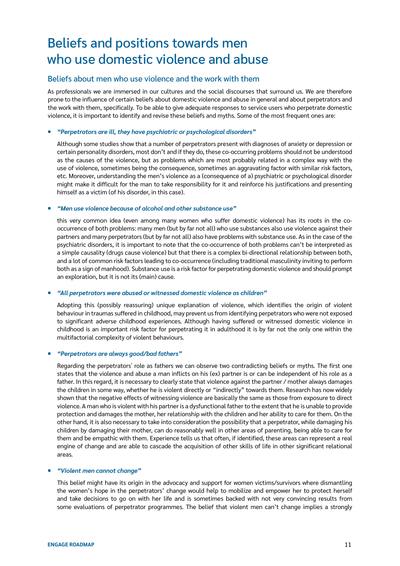## Beliefs and positions towards men who use domestic violence and abuse

#### Beliefs about men who use violence and the work with them

As professionals we are immersed in our cultures and the social discourses that surround us. We are therefore prone to the influence of certain beliefs about domestic violence and abuse in general and about perpetrators and the work with them, specifically. To be able to give adequate responses to service users who perpetrate domestic violence, it is important to identify and revise these beliefs and myths. Some of the most frequent ones are:

#### ¡ *"Perpetrators are ill, they have psychiatric or psychological disorders"*

Although some studies show that a number of perpetrators present with diagnoses of anxiety or depression or certain personality disorders, most don't and if they do, these co-occurring problems should not be understood as the causes of the violence, but as problems which are most probably related in a complex way with the use of violence, sometimes being the consequence, sometimes an aggravating factor with similar risk factors, etc. Moreover, understanding the men's violence as a (consequence of a) psychiatric or psychological disorder might make it difficult for the man to take responsibility for it and reinforce his justifications and presenting himself as a victim (of his disorder, in this case).

#### ¡ *"Men use violence because of alcohol and other substance use"*

this very common idea (even among many women who suffer domestic violence) has its roots in the cooccurrence of both problems: many men (but by far not all) who use substances also use violence against their partners and many perpetrators (but by far not all) also have problems with substance use. As in the case of the psychiatric disorders, it is important to note that the co-occurrence of both problems can't be interpreted as a simple causality (drugs cause violence) but that there is a complex bi-directional relationship between both, and a lot of common risk factors leading to co-occurrence (including traditional masculinity inviting to perform both as a sign of manhood). Substance use is a risk factor for perpetrating domestic violence and should prompt an exploration, but it is not its (main) cause.

#### ¡ *"All perpetrators were abused or witnessed domestic violence as children"*

Adopting this (possibly reassuring) unique explanation of violence, which identifies the origin of violent behaviour in traumas suffered in childhood, may prevent us from identifying perpetrators who were not exposed to significant adverse childhood experiences. Although having suffered or witnessed domestic violence in childhood is an important risk factor for perpetrating it in adulthood it is by far not the only one within the multifactorial complexity of violent behaviours.

#### ¡ *"Perpetrators are always good/bad fathers"*

Regarding the perpetrators' role as fathers we can observe two contradicting beliefs or myths. The first one states that the violence and abuse a man inflicts on his (ex) partner is or can be independent of his role as a father. In this regard, it is necessary to clearly state that violence against the partner / mother always damages the children in some way, whether he is violent directly or "indirectly" towards them. Research has now widely shown that the negative effects of witnessing violence are basically the same as those from exposure to direct violence. A man who is violent with his partner is a dysfunctional father to the extent that he is unable to provide protection and damages the mother, her relationship with the children and her ability to care for them. On the other hand, it is also necessary to take into consideration the possibility that a perpetrator, while damaging his children by damaging their mother, can do reasonably well in other areas of parenting, being able to care for them and be empathic with them. Experience tells us that often, if identified, these areas can represent a real engine of change and are able to cascade the acquisition of other skills of life in other significant relational areas.

#### ¡ *"Violent men cannot change"*

This belief might have its origin in the advocacy and support for women victims/survivors where dismantling the women's hope in the perpetrators' change would help to mobilize and empower her to protect herself and take decisions to go on with her life and is sometimes backed with not very convincing results from some evaluations of perpetrator programmes. The belief that violent men can't change implies a strongly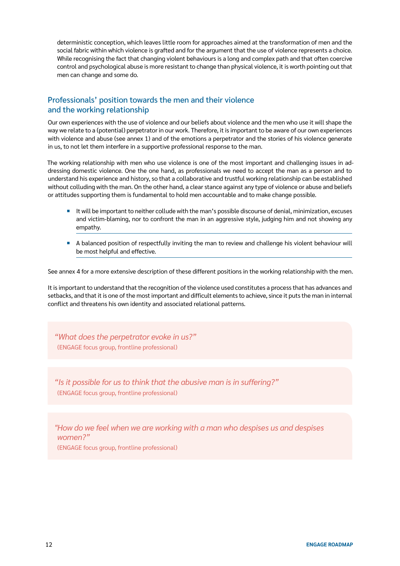deterministic conception, which leaves little room for approaches aimed at the transformation of men and the social fabric within which violence is grafted and for the argument that the use of violence represents a choice. While recognising the fact that changing violent behaviours is a long and complex path and that often coercive control and psychological abuse is more resistant to change than physical violence, it is worth pointing out that men can change and some do.

#### Professionals' position towards the men and their violence and the working relationship

Our own experiences with the use of violence and our beliefs about violence and the men who use it will shape the way we relate to a (potential) perpetrator in our work. Therefore, it is important to be aware of our own experiences with violence and abuse (see annex 1) and of the emotions a perpetrator and the stories of his violence generate in us, to not let them interfere in a supportive professional response to the man.

The working relationship with men who use violence is one of the most important and challenging issues in addressing domestic violence. One the one hand, as professionals we need to accept the man as a person and to understand his experience and history, so that a collaborative and trustful working relationship can be established without colluding with the man. On the other hand, a clear stance against any type of violence or abuse and beliefs or attitudes supporting them is fundamental to hold men accountable and to make change possible.

- ¡ It will be important to neither collude with the man's possible discourse of denial, minimization, excuses and victim-blaming, nor to confront the man in an aggressive style, judging him and not showing any empathy.
- A balanced position of respectfully inviting the man to review and challenge his violent behaviour will be most helpful and effective.

See annex 4 for a more extensive description of these different positions in the working relationship with the men.

It is important to understand that the recognition of the violence used constitutes a process that has advances and setbacks, and that it is one of the most important and difficult elements to achieve, since it puts the man in internal conflict and threatens his own identity and associated relational patterns.

*"What does the perpetrator evoke in us?"*  (ENGAGE focus group, frontline professional)

*"Is it possible for us to think that the abusive man is in suffering?"*  (ENGAGE focus group, frontline professional)

*"How do we feel when we are working with a man who despises us and despises women?"*  (ENGAGE focus group, frontline professional)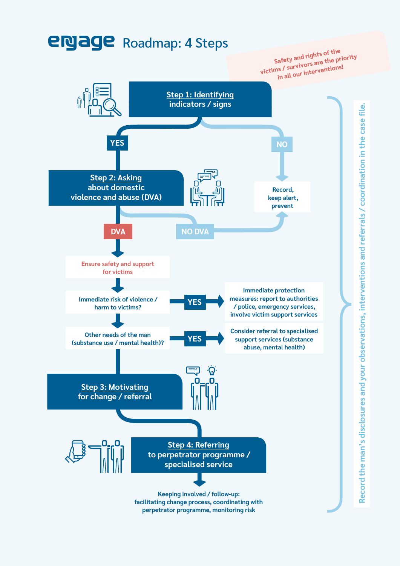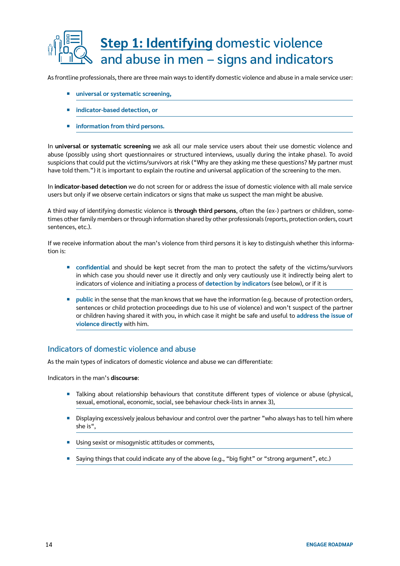## **Step 1: Identifying** domestic violence and abuse in men – signs and indicators

As frontline professionals, there are three main ways to identify domestic violence and abuse in a male service user:

- ¡ **universal or systematic screening,**
- **indicator-based detection, or**
- ¡ **information from third persons.**

In **universal or systematic screening** we ask all our male service users about their use domestic violence and abuse (possibly using short questionnaires or structured interviews, usually during the intake phase). To avoid suspicions that could put the victims/survivors at risk ("Why are they asking me these questions? My partner must have told them.") it is important to explain the routine and universal application of the screening to the men.

In **indicator-based detection** we do not screen for or address the issue of domestic violence with all male service users but only if we observe certain indicators or signs that make us suspect the man might be abusive.

A third way of identifying domestic violence is **through third persons**, often the (ex-) partners or children, sometimes other family members or through information shared by other professionals (reports, protection orders, court sentences, etc.).

If we receive information about the man's violence from third persons it is key to distinguish whether this information is:

- ¡ **confidential** and should be kept secret from the man to protect the safety of the victims/survivors in which case you should never use it directly and only very cautiously use it indirectly being alert to indicators of violence and initiating a process of **detection by indicators** (see below), or if it is
- **public** in the sense that the man knows that we have the information (e.g. because of protection orders, sentences or child protection proceedings due to his use of violence) and won't suspect of the partner or children having shared it with you, in which case it might be safe and useful to **address the issue of violence directly** with him.

#### Indicators of domestic violence and abuse

As the main types of indicators of domestic violence and abuse we can differentiate:

Indicators in the man's **discourse**:

- **•** Talking about relationship behaviours that constitute different types of violence or abuse (physical, sexual, emotional, economic, social, see behaviour check-lists in annex 3),
- **•** Displaying excessively jealous behaviour and control over the partner "who always has to tell him where she is",
- Using sexist or misogynistic attitudes or comments,
- Saying things that could indicate any of the above (e.g., "big fight" or "strong argument", etc.)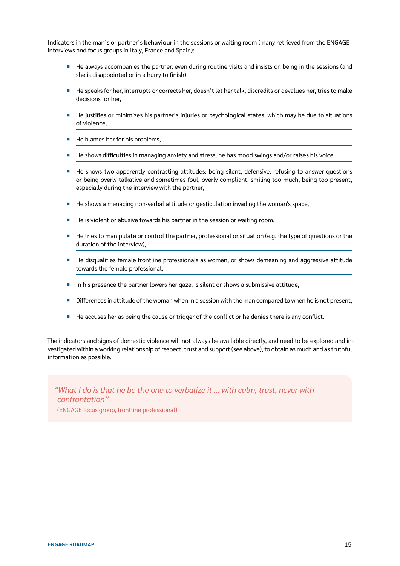Indicators in the man's or partner's **behaviour** in the sessions or waiting room (many retrieved from the ENGAGE interviews and focus groups in Italy, France and Spain):

- He always accompanies the partner, even during routine visits and insists on being in the sessions (and she is disappointed or in a hurry to finish),
- ¡ He speaks for her, interrupts or corrects her, doesn't let her talk, discredits or devalues her, tries to make decisions for her,
- He justifies or minimizes his partner's injuries or psychological states, which may be due to situations of violence,
- He blames her for his problems,
- He shows difficulties in managing anxiety and stress; he has mood swings and/or raises his voice,
- He shows two apparently contrasting attitudes: being silent, defensive, refusing to answer questions or being overly talkative and sometimes foul, overly compliant, smiling too much, being too present, especially during the interview with the partner,
- He shows a menacing non-verbal attitude or gesticulation invading the woman's space,
- He is violent or abusive towards his partner in the session or waiting room,
- He tries to manipulate or control the partner, professional or situation (e.g. the type of questions or the duration of the interview),
- **EXT** He disqualifies female frontline professionals as women, or shows demeaning and aggressive attitude towards the female professional,
- **•** In his presence the partner lowers her gaze, is silent or shows a submissive attitude,
- Differences in attitude of the woman when in a session with the man compared to when he is not present,
- He accuses her as being the cause or trigger of the conflict or he denies there is any conflict.

The indicators and signs of domestic violence will not always be available directly, and need to be explored and investigated within a working relationship of respect, trust and support (see above), to obtain as much and as truthful information as possible.

*"What I do is that he be the one to verbalize it ... with calm, trust, never with confrontation"* (ENGAGE focus group, frontline professional)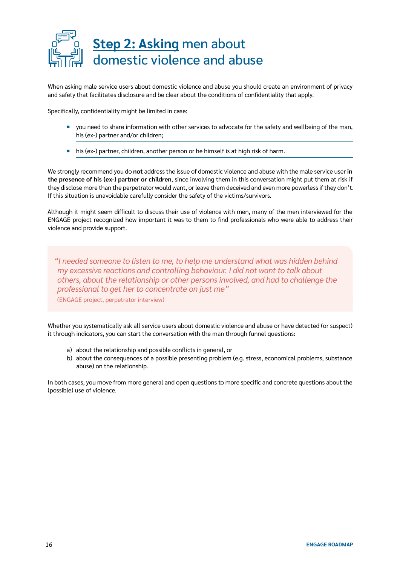

When asking male service users about domestic violence and abuse you should create an environment of privacy and safety that facilitates disclosure and be clear about the conditions of confidentiality that apply.

Specifically, confidentiality might be limited in case:

- you need to share information with other services to advocate for the safety and wellbeing of the man, his (ex-) partner and/or children;
- his (ex-) partner, children, another person or he himself is at high risk of harm.

We strongly recommend you do **not** address the issue of domestic violence and abuse with the male service user **in the presence of his (ex-) partner or children**, since involving them in this conversation might put them at risk if they disclose more than the perpetrator would want, or leave them deceived and even more powerless if they don't. If this situation is unavoidable carefully consider the safety of the victims/survivors.

Although it might seem difficult to discuss their use of violence with men, many of the men interviewed for the ENGAGE project recognized how important it was to them to find professionals who were able to address their violence and provide support.

*"I needed someone to listen to me, to help me understand what was hidden behind my excessive reactions and controlling behaviour. I did not want to talk about others, about the relationship or other persons involved, and had to challenge the professional to get her to concentrate on just me"*

(ENGAGE project, perpetrator interview)

Whether you systematically ask all service users about domestic violence and abuse or have detected (or suspect) it through indicators, you can start the conversation with the man through funnel questions:

- a) about the relationship and possible conflicts in general, or
- b) about the consequences of a possible presenting problem (e.g. stress, economical problems, substance abuse) on the relationship.

In both cases, you move from more general and open questions to more specific and concrete questions about the (possible) use of violence.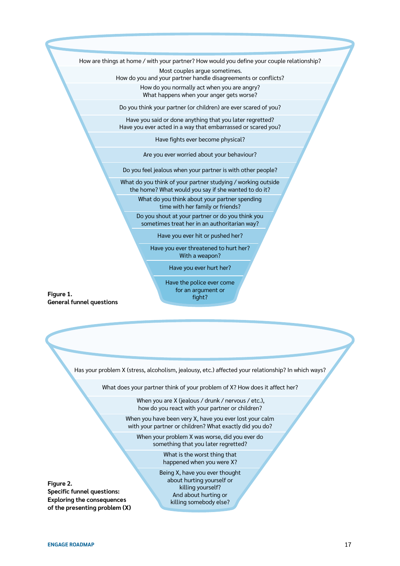How are things at home / with your partner? How would you define your couple relationship?

Most couples argue sometimes. How do you and your partner handle disagreements or conflicts?

How do you normally act when you are angry? What happens when your anger gets worse?

Do you think your partner (or children) are ever scared of you?

Have you said or done anything that you later regretted? Have you ever acted in a way that embarrassed or scared you?

Have fights ever become physical?

Are you ever worried about your behaviour?

Do you feel jealous when your partner is with other people?

What do you think of your partner studying / working outside

the home? What would you say if she wanted to do it? What do you think about your partner spending

time with her family or friends?

Do you shout at your partner or do you think you sometimes treat her in an authoritarian way?

Have you ever hit or pushed her?

Have you ever threatened to hurt her? With a weapon?

Have you ever hurt her?

Have the police ever come for an argument or fight?

**Figure 1. General funnel questions**

Has your problem X (stress, alcoholism, jealousy, etc.) affected your relationship? In which ways?

What does your partner think of your problem of X? How does it affect her?

When you are X (jealous / drunk / nervous / etc.), how do you react with your partner or children?

When you have been very X, have you ever lost your calm with your partner or children? What exactly did you do?

When your problem X was worse, did you ever do something that you later regretted?

> What is the worst thing that happened when you were X?

Being X, have you ever thought about hurting yourself or killing yourself? And about hurting or killing somebody else?

**Figure 2. Specific funnel questions: Exploring the consequences of the presenting problem (X)**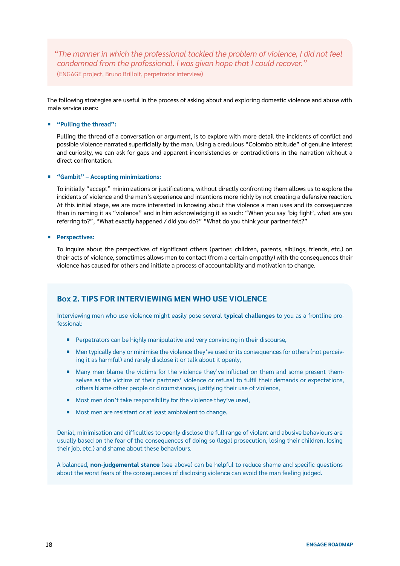*"The manner in which the professional tackled the problem of violence, I did not feel condemned from the professional. I was given hope that I could recover."* (ENGAGE project, Bruno Brilloit, perpetrator interview)

The following strategies are useful in the process of asking about and exploring domestic violence and abuse with male service users:

#### ¡ **"Pulling the thread":**

Pulling the thread of a conversation or argument, is to explore with more detail the incidents of conflict and possible violence narrated superficially by the man. Using a credulous "Colombo attitude" of genuine interest and curiosity, we can ask for gaps and apparent inconsistencies or contradictions in the narration without a direct confrontation.

#### ¡ **"Gambit" – Accepting minimizations:**

To initially "accept" minimizations or justifications, without directly confronting them allows us to explore the incidents of violence and the man's experience and intentions more richly by not creating a defensive reaction. At this initial stage, we are more interested in knowing about the violence a man uses and its consequences than in naming it as "violence" and in him acknowledging it as such: "When you say 'big fight', what are you referring to?", "What exactly happened / did you do?" "What do you think your partner felt?"

#### ¡ **Perspectives:**

To inquire about the perspectives of significant others (partner, children, parents, siblings, friends, etc.) on their acts of violence, sometimes allows men to contact (from a certain empathy) with the consequences their violence has caused for others and initiate a process of accountability and motivation to change.

#### **Box 2. TIPS FOR INTERVIEWING MEN WHO USE VIOLENCE**

Interviewing men who use violence might easily pose several **typical challenges** to you as a frontline professional:

- **E** Perpetrators can be highly manipulative and very convincing in their discourse,
- Men typically deny or minimise the violence they've used or its consequences for others (not perceiving it as harmful) and rarely disclose it or talk about it openly,
- Many men blame the victims for the violence they've inflicted on them and some present themselves as the victims of their partners' violence or refusal to fulfil their demands or expectations, others blame other people or circumstances, justifying their use of violence,
- Most men don't take responsibility for the violence they've used,
- Most men are resistant or at least ambivalent to change.

Denial, minimisation and difficulties to openly disclose the full range of violent and abusive behaviours are usually based on the fear of the consequences of doing so (legal prosecution, losing their children, losing their job, etc.) and shame about these behaviours.

A balanced, **non-judgemental stance** (see above) can be helpful to reduce shame and specific questions about the worst fears of the consequences of disclosing violence can avoid the man feeling judged.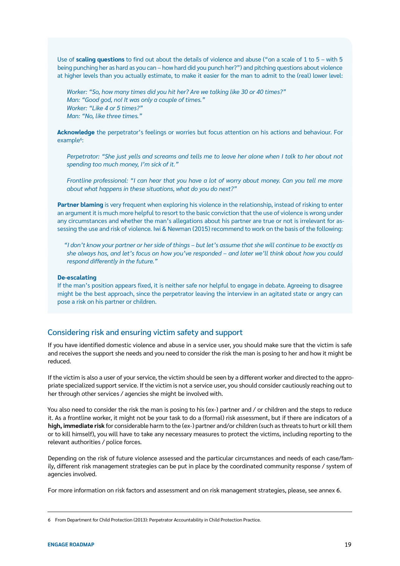Use of **scaling questions** to find out about the details of violence and abuse ("on a scale of 1 to 5 – with 5 being punching her as hard as you can – how hard did you punch her?") and pitching questions about violence at higher levels than you actually estimate, to make it easier for the man to admit to the (real) lower level:

*Worker: "So, how many times did you hit her? Are we talking like 30 or 40 times?" Man: "Good god, no! It was only a couple of times." Worker: "Like 4 or 5 times?" Man: "No, like three times."*

**Acknowledge** the perpetrator's feelings or worries but focus attention on his actions and behaviour. For example<sup>6</sup>:

*Perpetrator: "She just yells and screams and tells me to leave her alone when I talk to her about not spending too much money, I'm sick of it."* 

*Frontline professional: "I can hear that you have a lot of worry about money. Can you tell me more about what happens in these situations, what do you do next?"*

**Partner blaming** is very frequent when exploring his violence in the relationship, instead of risking to enter an argument it is much more helpful to resort to the basic conviction that the use of violence is wrong under any circumstances and whether the man's allegations about his partner are true or not is irrelevant for assessing the use and risk of violence. Iwi & Newman (2015) recommend to work on the basis of the following:

*"I don't know your partner or her side of things – but let's assume that she will continue to be exactly as she always has, and let's focus on how you've responded – and later we'll think about how you could respond differently in the future."*

#### **De-escalating**

If the man's position appears fixed, it is neither safe nor helpful to engage in debate. Agreeing to disagree might be the best approach, since the perpetrator leaving the interview in an agitated state or angry can pose a risk on his partner or children.

#### Considering risk and ensuring victim safety and support

If you have identified domestic violence and abuse in a service user, you should make sure that the victim is safe and receives the support she needs and you need to consider the risk the man is posing to her and how it might be reduced.

If the victim is also a user of your service, the victim should be seen by a different worker and directed to the appropriate specialized support service. If the victim is not a service user, you should consider cautiously reaching out to her through other services / agencies she might be involved with.

You also need to consider the risk the man is posing to his (ex-) partner and / or children and the steps to reduce it. As a frontline worker, it might not be your task to do a (formal) risk assessment, but if there are indicators of a **high, immediate risk** for considerable harm to the (ex-) partner and/or children (such as threats to hurt or kill them or to kill himself), you will have to take any necessary measures to protect the victims, including reporting to the relevant authorities / police forces.

Depending on the risk of future violence assessed and the particular circumstances and needs of each case/family, different risk management strategies can be put in place by the coordinated community response / system of agencies involved.

For more information on risk factors and assessment and on risk management strategies, please, see annex 6.

<sup>6</sup> From Department for Child Protection (2013): Perpetrator Accountability in Child Protection Practice.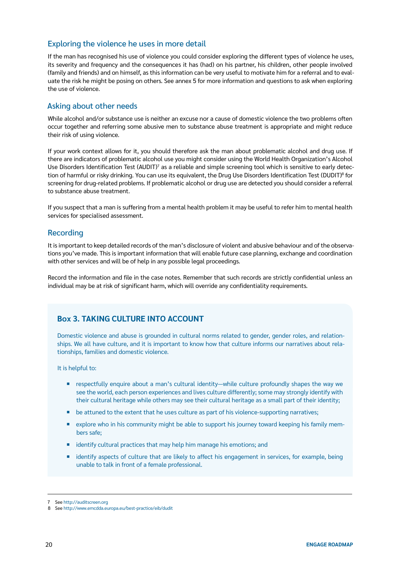#### Exploring the violence he uses in more detail

If the man has recognised his use of violence you could consider exploring the different types of violence he uses, its severity and frequency and the consequences it has (had) on his partner, his children, other people involved (family and friends) and on himself, as this information can be very useful to motivate him for a referral and to evaluate the risk he might be posing on others. See annex 5 for more information and questions to ask when exploring the use of violence.

#### Asking about other needs

While alcohol and/or substance use is neither an excuse nor a cause of domestic violence the two problems often occur together and referring some abusive men to substance abuse treatment is appropriate and might reduce their risk of using violence.

If your work context allows for it, you should therefore ask the man about problematic alcohol and drug use. If there are indicators of problematic alcohol use you might consider using the World Health Organization's Alcohol Use Disorders Identification Test (AUDIT)<sup>7</sup> as a reliable and simple screening tool which is sensitive to early detection of harmful or risky drinking. You can use its equivalent, the Drug Use Disorders Identification Test (DUDIT)<sup>8</sup> for screening for drug-related problems. If problematic alcohol or drug use are detected you should consider a referral to substance abuse treatment.

If you suspect that a man is suffering from a mental health problem it may be useful to refer him to mental health services for specialised assessment.

#### Recording

It is important to keep detailed records of the man's disclosure of violent and abusive behaviour and of the observations you've made. This is important information that will enable future case planning, exchange and coordination with other services and will be of help in any possible legal proceedings.

Record the information and file in the case notes. Remember that such records are strictly confidential unless an individual may be at risk of significant harm, which will override any confidentiality requirements.

#### **Box 3. TAKING CULTURE INTO ACCOUNT**

Domestic violence and abuse is grounded in cultural norms related to gender, gender roles, and relationships. We all have culture, and it is important to know how that culture informs our narratives about relationships, families and domestic violence.

It is helpful to:

- respectfully enquire about a man's cultural identity—while culture profoundly shapes the way we see the world, each person experiences and lives culture differently; some may strongly identify with their cultural heritage while others may see their cultural heritage as a small part of their identity;
- **be attuned to the extent that he uses culture as part of his violence-supporting narratives;**
- explore who in his community might be able to support his journey toward keeping his family members safe;
- **E** identify cultural practices that may help him manage his emotions; and
- identify aspects of culture that are likely to affect his engagement in services, for example, being unable to talk in front of a female professional.

<sup>7</sup> See <http://auditscreen.org>

<sup>8</sup> See <http://www.emcdda.europa.eu/best-practice/eib/dudit>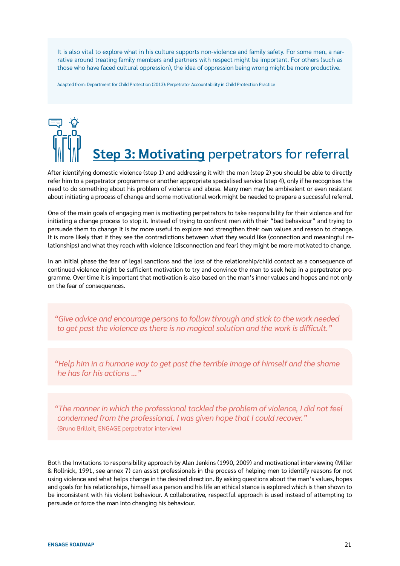It is also vital to explore what in his culture supports non-violence and family safety. For some men, a narrative around treating family members and partners with respect might be important. For others (such as those who have faced cultural oppression), the idea of oppression being wrong might be more productive.

Adapted from: Department for Child Protection (2013): Perpetrator Accountability in Child Protection Practice

## **Step 3: Motivating** perpetrators for referral

After identifying domestic violence (step 1) and addressing it with the man (step 2) you should be able to directly refer him to a perpetrator programme or another appropriate specialised service (step 4), only if he recognises the need to do something about his problem of violence and abuse. Many men may be ambivalent or even resistant about initiating a process of change and some motivational work might be needed to prepare a successful referral.

One of the main goals of engaging men is motivating perpetrators to take responsibility for their violence and for initiating a change process to stop it. Instead of trying to confront men with their "bad behaviour" and trying to persuade them to change it is far more useful to explore and strengthen their own values and reason to change. It is more likely that if they see the contradictions between what they would like (connection and meaningful relationships) and what they reach with violence (disconnection and fear) they might be more motivated to change.

In an initial phase the fear of legal sanctions and the loss of the relationship/child contact as a consequence of continued violence might be sufficient motivation to try and convince the man to seek help in a perpetrator programme. Over time it is important that motivation is also based on the man's inner values and hopes and not only on the fear of consequences.

*"Give advice and encourage persons to follow through and stick to the work needed to get past the violence as there is no magical solution and the work is difficult."*

*"Help him in a humane way to get past the terrible image of himself and the shame he has for his actions ..."*

*"The manner in which the professional tackled the problem of violence, I did not feel condemned from the professional. I was given hope that I could recover."*  (Bruno Brilloit, ENGAGE perpetrator interview)

Both the Invitations to responsibility approach by Alan Jenkins (1990, 2009) and motivational interviewing (Miller & Rollnick, 1991, see annex 7) can assist professionals in the process of helping men to identify reasons for not using violence and what helps change in the desired direction. By asking questions about the man's values, hopes and goals for his relationships, himself as a person and his life an ethical stance is explored which is then shown to be inconsistent with his violent behaviour. A collaborative, respectful approach is used instead of attempting to persuade or force the man into changing his behaviour.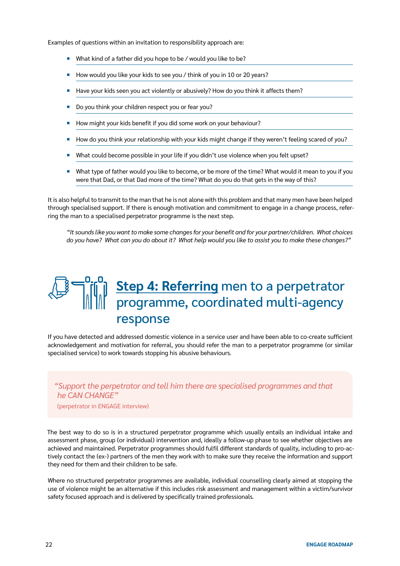Examples of questions within an invitation to responsibility approach are:

- What kind of a father did you hope to be / would you like to be?
- How would you like your kids to see you / think of you in 10 or 20 years?
- Have your kids seen you act violently or abusively? How do you think it affects them?
- Do you think your children respect you or fear you?
- How might your kids benefit if you did some work on your behaviour?
- How do you think your relationship with your kids might change if they weren't feeling scared of you?
- ¡ What could become possible in your life if you didn't use violence when you felt upset?
- What type of father would you like to become, or be more of the time? What would it mean to you if you were that Dad, or that Dad more of the time? What do you do that gets in the way of this?

It is also helpful to transmit to the man that he is not alone with this problem and that many men have been helped through specialised support. If there is enough motivation and commitment to engage in a change process, referring the man to a specialised perpetrator programme is the next step.

*"It sounds like you want to make some changes for your benefit and for your partner/children. What choices do you have? What can you do about it? What help would you like to assist you to make these changes?"*

## **Step 4: Referring** men to a perpetrator programme, coordinated multi-agency response

If you have detected and addressed domestic violence in a service user and have been able to co-create sufficient acknowledgement and motivation for referral, you should refer the man to a perpetrator programme (or similar specialised service) to work towards stopping his abusive behaviours.

#### *"Support the perpetrator and tell him there are specialised programmes and that he CAN CHANGE"*

(perpetrator in ENGAGE interview)

The best way to do so is in a structured perpetrator programme which usually entails an individual intake and assessment phase, group (or individual) intervention and, ideally a follow-up phase to see whether objectives are achieved and maintained. Perpetrator programmes should fulfil different standards of quality, including to pro-actively contact the (ex-) partners of the men they work with to make sure they receive the information and support they need for them and their children to be safe.

Where no structured perpetrator programmes are available, individual counselling clearly aimed at stopping the use of violence might be an alternative if this includes risk assessment and management within a victim/survivor safety focused approach and is delivered by specifically trained professionals.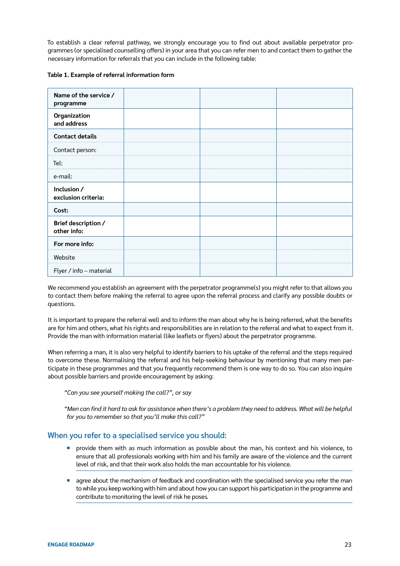To establish a clear referral pathway, we strongly encourage you to find out about available perpetrator programmes (or specialised counselling offers) in your area that you can refer men to and contact them to gather the necessary information for referrals that you can include in the following table:

|  |  |  | Table 1. Example of referral information form |  |
|--|--|--|-----------------------------------------------|--|
|--|--|--|-----------------------------------------------|--|

| Name of the service /<br>programme |  |  |
|------------------------------------|--|--|
| Organization<br>and address        |  |  |
| <b>Contact details</b>             |  |  |
| Contact person:                    |  |  |
| Tel:                               |  |  |
| e-mail:                            |  |  |
| Inclusion /<br>exclusion criteria: |  |  |
| Cost:                              |  |  |
| Brief description /<br>other info: |  |  |
| For more info:                     |  |  |
| Website                            |  |  |
| Flyer / info - material            |  |  |

We recommend you establish an agreement with the perpetrator programme(s) you might refer to that allows you to contact them before making the referral to agree upon the referral process and clarify any possible doubts or questions.

It is important to prepare the referral well and to inform the man about why he is being referred, what the benefits are for him and others, what his rights and responsibilities are in relation to the referral and what to expect from it. Provide the man with information material (like leaflets or flyers) about the perpetrator programme.

When referring a man, it is also very helpful to identify barriers to his uptake of the referral and the steps required to overcome these. Normalising the referral and his help-seeking behaviour by mentioning that many men participate in these programmes and that you frequently recommend them is one way to do so. You can also inquire about possible barriers and provide encouragement by asking:

*"Can you see yourself making the call?", or say* 

*"Men can find it hard to ask for assistance when there's a problem they need to address. What will be helpful for you to remember so that you'll make this call?"*

#### When you refer to a specialised service you should:

- ¡ provide them with as much information as possible about the man, his context and his violence, to ensure that all professionals working with him and his family are aware of the violence and the current level of risk, and that their work also holds the man accountable for his violence.
- **•** agree about the mechanism of feedback and coordination with the specialised service you refer the man to while you keep working with him and about how you can support his participation in the programme and contribute to monitoring the level of risk he poses.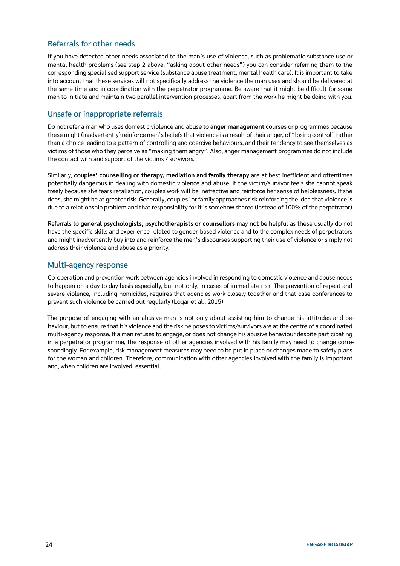#### Referrals for other needs

If you have detected other needs associated to the man's use of violence, such as problematic substance use or mental health problems (see step 2 above, "asking about other needs") you can consider referring them to the corresponding specialised support service (substance abuse treatment, mental health care). It is important to take into account that these services will not specifically address the violence the man uses and should be delivered at the same time and in coordination with the perpetrator programme. Be aware that it might be difficult for some men to initiate and maintain two parallel intervention processes, apart from the work he might be doing with you.

#### Unsafe or inappropriate referrals

Do not refer a man who uses domestic violence and abuse to **anger management** courses or programmes because these might (inadvertently) reinforce men's beliefs that violence is a result of their anger, of "losing control" rather than a choice leading to a pattern of controlling and coercive behaviours, and their tendency to see themselves as victims of those who they perceive as "making them angry". Also, anger management programmes do not include the contact with and support of the victims / survivors.

Similarly, **couples' counselling or therapy, mediation and family therapy** are at best inefficient and oftentimes potentially dangerous in dealing with domestic violence and abuse. If the victim/survivor feels she cannot speak freely because she fears retaliation, couples work will be ineffective and reinforce her sense of helplessness. If she does, she might be at greater risk. Generally, couples' or family approaches risk reinforcing the idea that violence is due to a relationship problem and that responsibility for it is somehow shared (instead of 100% of the perpetrator).

Referrals to **general psychologists, psychotherapists or counsellors** may not be helpful as these usually do not have the specific skills and experience related to gender-based violence and to the complex needs of perpetrators and might inadvertently buy into and reinforce the men's discourses supporting their use of violence or simply not address their violence and abuse as a priority.

#### Multi-agency response

Co-operation and prevention work between agencies involved in responding to domestic violence and abuse needs to happen on a day to day basis especially, but not only, in cases of immediate risk. The prevention of repeat and severe violence, including homicides, requires that agencies work closely together and that case conferences to prevent such violence be carried out regularly (Logar et al., 2015).

The purpose of engaging with an abusive man is not only about assisting him to change his attitudes and behaviour, but to ensure that his violence and the risk he poses to victims/survivors are at the centre of a coordinated multi-agency response. If a man refuses to engage, or does not change his abusive behaviour despite participating in a perpetrator programme, the response of other agencies involved with his family may need to change correspondingly. For example, risk management measures may need to be put in place or changes made to safety plans for the woman and children. Therefore, communication with other agencies involved with the family is important and, when children are involved, essential.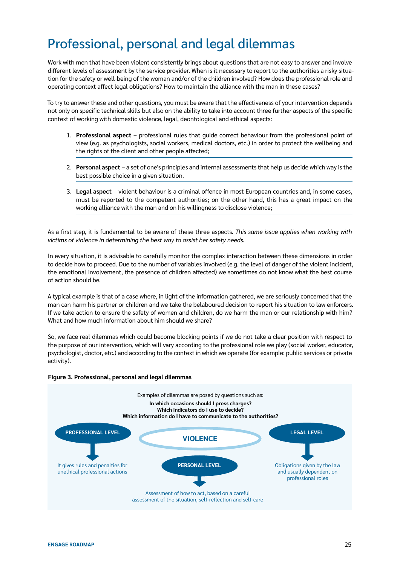## Professional, personal and legal dilemmas

Work with men that have been violent consistently brings about questions that are not easy to answer and involve different levels of assessment by the service provider. When is it necessary to report to the authorities a risky situation for the safety or well-being of the woman and/or of the children involved? How does the professional role and operating context affect legal obligations? How to maintain the alliance with the man in these cases?

To try to answer these and other questions, you must be aware that the effectiveness of your intervention depends not only on specific technical skills but also on the ability to take into account three further aspects of the specific context of working with domestic violence, legal, deontological and ethical aspects:

- 1. **Professional aspect**  professional rules that guide correct behaviour from the professional point of view (e.g. as psychologists, social workers, medical doctors, etc.) in order to protect the wellbeing and the rights of the client and other people affected;
- 2. **Personal aspect**  a set of one's principles and internal assessments that help us decide which way is the best possible choice in a given situation.
- 3. **Legal aspect** violent behaviour is a criminal offence in most European countries and, in some cases, must be reported to the competent authorities; on the other hand, this has a great impact on the working alliance with the man and on his willingness to disclose violence;

As a first step, it is fundamental to be aware of these three aspects. *This same issue applies when working with victims of violence in determining the best way to assist her safety needs.*

In every situation, it is advisable to carefully monitor the complex interaction between these dimensions in order to decide how to proceed. Due to the number of variables involved (e.g. the level of danger of the violent incident, the emotional involvement, the presence of children affected) we sometimes do not know what the best course of action should be.

A typical example is that of a case where, in light of the information gathered, we are seriously concerned that the man can harm his partner or children and we take the belaboured decision to report his situation to law enforcers. If we take action to ensure the safety of women and children, do we harm the man or our relationship with him? What and how much information about him should we share?

So, we face real dilemmas which could become blocking points if we do not take a clear position with respect to the purpose of our intervention, which will vary according to the professional role we play (social worker, educator, psychologist, doctor, etc.) and according to the context in which we operate (for example: public services or private activity).

#### **Figure 3. Professional, personal and legal dilemmas**

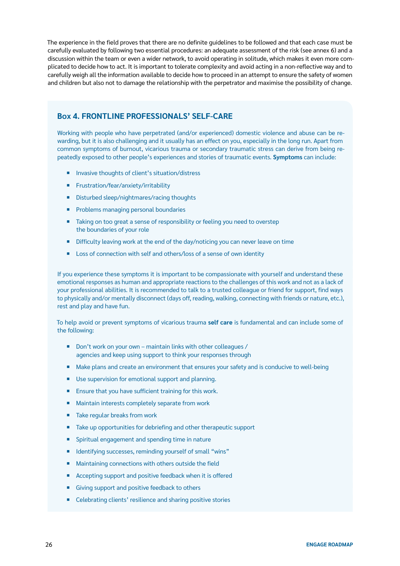The experience in the field proves that there are no definite guidelines to be followed and that each case must be carefully evaluated by following two essential procedures: an adequate assessment of the risk (see annex 6) and a discussion within the team or even a wider network, to avoid operating in solitude, which makes it even more complicated to decide how to act. It is important to tolerate complexity and avoid acting in a non-reflective way and to carefully weigh all the information available to decide how to proceed in an attempt to ensure the safety of women and children but also not to damage the relationship with the perpetrator and maximise the possibility of change.

#### **Box 4. FRONTLINE PROFESSIONALS' SELF-CARE**

Working with people who have perpetrated (and/or experienced) domestic violence and abuse can be rewarding, but it is also challenging and it usually has an effect on you, especially in the long run. Apart from common symptoms of burnout, vicarious trauma or secondary traumatic stress can derive from being repeatedly exposed to other people's experiences and stories of traumatic events. **Symptoms** can include:

- ¡ Invasive thoughts of client's situation/distress
- **Frustration/fear/anxiety/irritability**
- Disturbed sleep/nightmares/racing thoughts
- Problems managing personal boundaries
- Taking on too great a sense of responsibility or feeling you need to overstep the boundaries of your role
- Difficulty leaving work at the end of the day/noticing you can never leave on time
- Loss of connection with self and others/loss of a sense of own identity

If you experience these symptoms it is important to be compassionate with yourself and understand these emotional responses as human and appropriate reactions to the challenges of this work and not as a lack of your professional abilities. It is recommended to talk to a trusted colleague or friend for support, find ways to physically and/or mentally disconnect (days off, reading, walking, connecting with friends or nature, etc.), rest and play and have fun.

To help avoid or prevent symptoms of vicarious trauma **self care** is fundamental and can include some of the following:

- $\blacksquare$  Don't work on your own maintain links with other colleagues / agencies and keep using support to think your responses through
- **Make plans and create an environment that ensures your safety and is conducive to well-being**
- Use supervision for emotional support and planning.
- Ensure that you have sufficient training for this work.
- Maintain interests completely separate from work
- Take regular breaks from work
- Take up opportunities for debriefing and other therapeutic support
- Spiritual engagement and spending time in nature
- ¡ Identifying successes, reminding yourself of small "wins"
- Maintaining connections with others outside the field
- Accepting support and positive feedback when it is offered
- Giving support and positive feedback to others
- Celebrating clients' resilience and sharing positive stories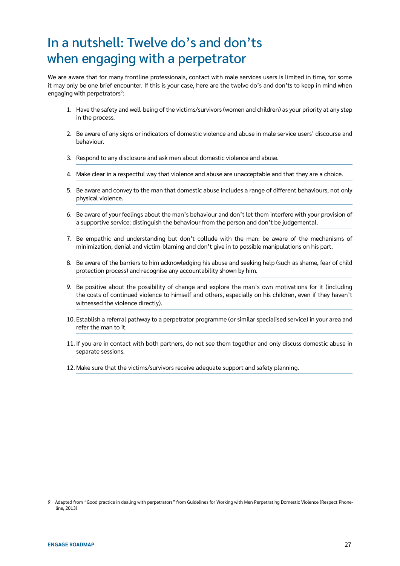## In a nutshell: Twelve do's and don'ts when engaging with a perpetrator

We are aware that for many frontline professionals, contact with male services users is limited in time, for some it may only be one brief encounter. If this is your case, here are the twelve do's and don'ts to keep in mind when engaging with perpetrators<sup>9</sup>:

- 1. Have the safety and well-being of the victims/survivors (women and children) as your priority at any step in the process.
- 2. Be aware of any signs or indicators of domestic violence and abuse in male service users' discourse and behaviour.
- 3. Respond to any disclosure and ask men about domestic violence and abuse.
- 4. Make clear in a respectful way that violence and abuse are unacceptable and that they are a choice.
- 5. Be aware and convey to the man that domestic abuse includes a range of different behaviours, not only physical violence.
- 6. Be aware of your feelings about the man's behaviour and don't let them interfere with your provision of a supportive service: distinguish the behaviour from the person and don't be judgemental.
- 7. Be empathic and understanding but don't collude with the man: be aware of the mechanisms of minimization, denial and victim-blaming and don't give in to possible manipulations on his part.
- 8. Be aware of the barriers to him acknowledging his abuse and seeking help (such as shame, fear of child protection process) and recognise any accountability shown by him.
- 9. Be positive about the possibility of change and explore the man's own motivations for it (including the costs of continued violence to himself and others, especially on his children, even if they haven't witnessed the violence directly).
- 10. Establish a referral pathway to a perpetrator programme (or similar specialised service) in your area and refer the man to it.
- 11. If you are in contact with both partners, do not see them together and only discuss domestic abuse in separate sessions.
- 12. Make sure that the victims/survivors receive adequate support and safety planning.

<sup>9</sup> Adapted from "Good practice in dealing with perpetrators" from Guidelines for Working with Men Perpetrating Domestic Violence (Respect Phoneline, 2013)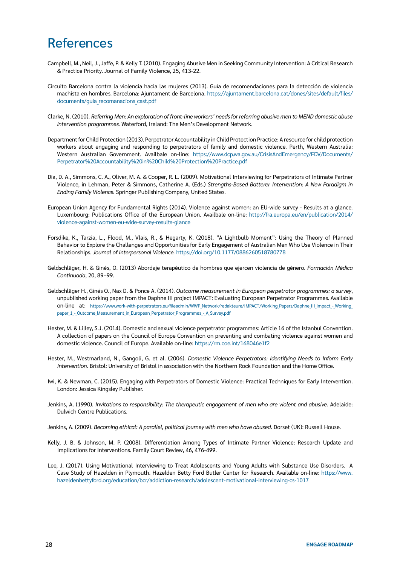### **References**

- Campbell, M., Neil, J., Jaffe, P. & Kelly T. (2010). Engaging Abusive Men in Seeking Community Intervention: A Critical Research & Practice Priority. Journal of Family Violence, 25, 413-22.
- Circuito Barcelona contra la violencia hacia las mujeres (2013). Guía de recomendaciones para la detección de violencia machista en hombres. Barcelona: Ajuntament de Barcelona. [https://ajuntament.barcelona.cat/dones/sites/default/files/](https://ajuntament.barcelona.cat/dones/sites/default/files/documents/guia_recomanacions_cast.pdf) [documents/guia\\_recomanacions\\_cast.pdf](https://ajuntament.barcelona.cat/dones/sites/default/files/documents/guia_recomanacions_cast.pdf)
- Clarke, N. (2010). *Referring Men: An exploration of front-line workers' needs for referring abusive men to MEND domestic abuse intervention programmes.* Waterford, Ireland: The Men's Development Network.
- Department for Child Protection (2013). Perpetrator Accountability in Child Protection Practice: A resource for child protection workers about engaging and responding to perpetrators of family and domestic violence. Perth, Western Australia: Western Australian Government. Availbale on-line: [https://www.dcp.wa.gov.au/CrisisAndEmergency/FDV/Documents/](https://www.dcp.wa.gov.au/CrisisAndEmergency/FDV/Documents/Perpetrator%20Accountability%20in%20Child%20Protection%20Practice.pdf) [Perpetrator%20Accountability%20in%20Child%20Protection%20Practice.pdf](https://www.dcp.wa.gov.au/CrisisAndEmergency/FDV/Documents/Perpetrator%20Accountability%20in%20Child%20Protection%20Practice.pdf)
- Dia, D. A., Simmons, C. A., Oliver, M. A. & Cooper, R. L. (2009). Motivational Interviewing for Perpetrators of Intimate Partner Violence, in Lehman, Peter & Simmons, Catherine A. (Eds.) *Strengths-Based Batterer Intervention: A New Paradigm in Ending Family Violence.* Springer Publishing Company, United States.
- European Union Agency for Fundamental Rights (2014). Violence against women: an EU-wide survey Results at a glance. Luxembourg: Publications Office of the European Union. Availbale on-line: [http://fra.europa.eu/en/publication/2014/](http://fra.europa.eu/en/publication/2014/violence-against-women-eu-wide-survey-results-glance) [violence-against-women-eu-wide-survey-results-glance](http://fra.europa.eu/en/publication/2014/violence-against-women-eu-wide-survey-results-glance)
- Forsdike, K., Tarzia, L., Flood, M., Vlais, R., & Hegarty, K. (2018). "A Lightbulb Moment": Using the Theory of Planned Behavior to Explore the Challenges and Opportunities for Early Engagement of Australian Men Who Use Violence in Their Relationships. *Journal of Interpersonal Violence.* <https://doi.org/10.1177/0886260518780778>
- Geldschläger, H. & Ginés, O. (2013) Abordaje terapéutico de hombres que ejercen violencia de género. *Formación Médica Continuada*, 20, 89–99.
- Geldschläger H., Ginés O., Nax D. & Ponce A. (2014). *Outcome measurement in European perpetrator programmes: a survey*, unpublished working paper from the Daphne III project IMPACT: Evaluating European Perpetrator Programmes. Available on-line at: https://www.work-with-perpetrators.eu/fileadmin/WWP\_Network/redakteure/IMPACT/Working\_Papers/Daphne\_III\_Impact -\_Working paper 1 - Outcome Measurement in European Perpetrator Programmes - A Survey.pdf
- Hester, M. & Lilley, S.J. (2014). Domestic and sexual violence perpetrator programmes: Article 16 of the Istanbul Convention. A collection of papers on the Council of Europe Convention on preventing and combating violence against women and domestic violence. Council of Europe. Available on-line:<https://rm.coe.int/168046e1f2>
- Hester, M., Westmarland, N., Gangoli, G. et al. (2006). *Domestic Violence Perpetrators: Identifying Needs to Inform Early Intervention.* Bristol: University of Bristol in association with the Northern Rock Foundation and the Home Office.
- Iwi, K. & Newman, C. (2015). Engaging with Perpetrators of Domestic Violence: Practical Techniques for Early Intervention. London: Jessica Kingsley Publisher.
- Jenkins, A. (1990). *Invitations to responsibility: The therapeutic engagement of men who are violent and abusive.* Adelaide: Dulwich Centre Publications.

Jenkins, A. (2009). *Becoming ethical: A parallel, political journey with men who have abused*. Dorset (UK): Russell House.

- Kelly, J. B. & Johnson, M. P. (2008). Differentiation Among Types of Intimate Partner Violence: Research Update and Implications for Interventions. Family Court Review, 46, 476-499.
- Lee, J. (2017). Using Motivational Interviewing to Treat Adolescents and Young Adults with Substance Use Disorders. A Case Study of Hazelden in Plymouth. Hazelden Betty Ford Butler Center for Research. Available on-line: [https://www.](https://www.hazeldenbettyford.org/education/bcr/addiction-research/adolescent-motivational-interviewing-cs-1017) [hazeldenbettyford.org/education/bcr/addiction-research/adolescent-motivational-interviewing-cs-1017](https://www.hazeldenbettyford.org/education/bcr/addiction-research/adolescent-motivational-interviewing-cs-1017)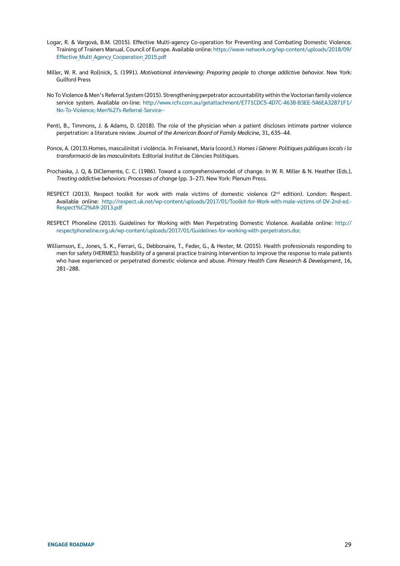- Logar, R. & Vargová, B.M. (2015). Effective Multi-agency Co-operation for Preventing and Combating Domestic Violence. Training of Trainers Manual. Council of Europe. Available online: [https://wave-network.org/wp-content/uploads/2018/09/](https://wave-network.org/wp-content/uploads/2018/09/Effective_Multi_Agency_Cooperation_2015.pdf) [Effective\\_Multi\\_Agency\\_Cooperation\\_2015.pdf](https://wave-network.org/wp-content/uploads/2018/09/Effective_Multi_Agency_Cooperation_2015.pdf)
- Miller, W. R. and Rollnick, S. (1991). *Motivational interviewing: Preparing people to change addictive behavior.* New York: Guilford Press
- No To Violence & Men's Referral System (2015). Strengthening perpetrator accountability within the Voctorian family violence service system. Available on-line: [http://www.rcfv.com.au/getattachment/E771CDC5-4D7C-4638-B3EE-546EA32871F1/](http://www.rcfv.com.au/getattachment/E771CDC5-4D7C-4638-B3EE-546EA32871F1/No-To-Violence;-Men%27s-Referral-Service--) [No-To-Violence;-Men%27s-Referral-Service--](http://www.rcfv.com.au/getattachment/E771CDC5-4D7C-4638-B3EE-546EA32871F1/No-To-Violence;-Men%27s-Referral-Service--)
- Penti, B., Timmons, J. & Adams, D. (2018). The role of the physician when a patient discloses intimate partner violence perpetration: a literature review. *Journal of the American Board of Family Medicine*, 31, 635–44.
- Ponce, A. (2013).Homes, masculinitat i violència. In Freixanet, Maria (coord.): *Homes i Gènere: Polítiques públiques locals i la transformació de les masculinitats.* Editorial Institut de Ciències Polítiques.
- Prochaska, J. Q, & DiClemente, C. C. (1986). Toward a comprehensivemodel of change. In W. R. Miller & N. Heather (Eds.), *Treating addictive behaviors: Processes of change* (pp. 3–27). New York: Plenum Press.
- RESPECT (2013). Respect toolkit for work with male victims of domestic violence (2<sup>nd</sup> edition). London: Respect. Available online: [http://respect.uk.net/wp-content/uploads/2017/01/Toolkit-for-Work-with-male-victims-of-DV-2nd-ed.-](http://respect.uk.net/wp-content/uploads/2017/01/Toolkit-for-Work-with-male-victims-of-DV-2nd-ed.-Respect%C2%A9-2013.pdf) [Respect%C2%A9-2013.pdf](http://respect.uk.net/wp-content/uploads/2017/01/Toolkit-for-Work-with-male-victims-of-DV-2nd-ed.-Respect%C2%A9-2013.pdf)
- RESPECT Phoneline (2013). Guidelines for Working with Men Perpetrating Domestic Violence. Available online: [http://](http://respectphoneline.org.uk/wp-content/uploads/2017/01/Guidelines-for-working-with-perpetrators.doc) [respectphoneline.org.uk/wp-content/uploads/2017/01/Guidelines-for-working-with-perpetrators.doc](http://respectphoneline.org.uk/wp-content/uploads/2017/01/Guidelines-for-working-with-perpetrators.doc)
- Williamson, E., Jones, S. K., Ferrari, G., Debbonaire, T., Feder, G., & Hester, M. (2015). Health professionals responding to men for safety (HERMES): feasibility of a general practice training intervention to improve the response to male patients who have experienced or perpetrated domestic violence and abuse. *Primary Health Care Research & Development*, 16, 281–288.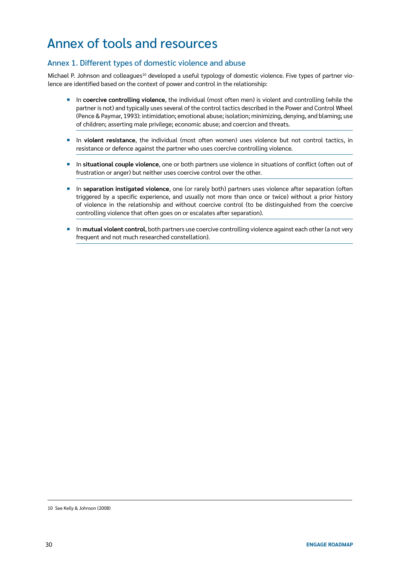## Annex of tools and resources

#### Annex 1. Different types of domestic violence and abuse

Michael P. Johnson and colleagues<sup>10</sup> developed a useful typology of domestic violence. Five types of partner violence are identified based on the context of power and control in the relationship:

- ¡ In **coercive controlling violence**, the individual (most often men) is violent and controlling (while the partner is not) and typically uses several of the control tactics described in the Power and Control Wheel (Pence & Paymar, 1993): intimidation; emotional abuse; isolation; minimizing, denying, and blaming; use of children; asserting male privilege; economic abuse; and coercion and threats.
- ¡ In **violent resistance**, the individual (most often women) uses violence but not control tactics, in resistance or defence against the partner who uses coercive controlling violence.
- ¡ In **situational couple violence**, one or both partners use violence in situations of conflict (often out of frustration or anger) but neither uses coercive control over the other.
- ¡ In **separation instigated violence**, one (or rarely both) partners uses violence after separation (often triggered by a specific experience, and usually not more than once or twice) without a prior history of violence in the relationship and without coercive control (to be distinguished from the coercive controlling violence that often goes on or escalates after separation).
- ¡ In **mutual violent control**, both partners use coercive controlling violence against each other (a not very frequent and not much researched constellation).

<sup>10</sup> See Kelly & Johnson (2008)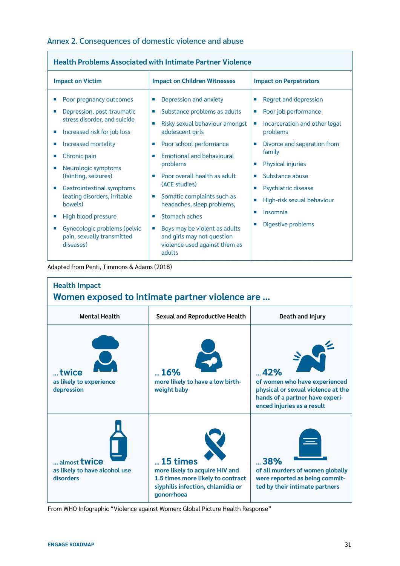#### Annex 2. Consequences of domestic violence and abuse

| <b>Health Problems Associated with Intimate Partner Violence</b>                                                                                                                                                                                                                                                                           |                                                                                                                                                                                                                                                                                                                                                                                         |                                                                                                                                                                                                                                                                                                     |  |  |  |
|--------------------------------------------------------------------------------------------------------------------------------------------------------------------------------------------------------------------------------------------------------------------------------------------------------------------------------------------|-----------------------------------------------------------------------------------------------------------------------------------------------------------------------------------------------------------------------------------------------------------------------------------------------------------------------------------------------------------------------------------------|-----------------------------------------------------------------------------------------------------------------------------------------------------------------------------------------------------------------------------------------------------------------------------------------------------|--|--|--|
| <b>Impact on Victim</b>                                                                                                                                                                                                                                                                                                                    | <b>Impact on Children Witnesses</b>                                                                                                                                                                                                                                                                                                                                                     | <b>Impact on Perpetrators</b>                                                                                                                                                                                                                                                                       |  |  |  |
| Poor pregnancy outcomes<br>Depression, post-traumatic<br>п<br>stress disorder, and suicide<br>Increased risk for job loss<br>ш<br>Increased mortality<br>П<br>Chronic pain<br>Neurologic symptoms<br>U.<br>(fainting, seizures)<br><b>Gastrointestinal symptoms</b><br>×<br>(eating disorders, irritable<br>bowels)<br>High blood pressure | Depression and anxiety<br>п<br>Substance problems as adults<br>$\overline{\phantom{a}}$<br>Risky sexual behaviour amongst<br>adolescent girls<br>Poor school performance<br>ш<br>Emotional and behavioural<br>m.<br>problems<br>Poor overall health as adult<br>m.<br>(ACE studies)<br>Somatic complaints such as<br>×<br>headaches, sleep problems,<br>Stomach aches<br>$\blacksquare$ | Regret and depression<br>Poor job performance<br>×<br>Incarceration and other legal<br>problems<br>Divorce and separation from<br>family<br><b>Physical injuries</b><br>×<br>Substance abuse<br>m.<br>Psychiatric disease<br>High-risk sexual behaviour<br>Insomnia<br>п<br>Digestive problems<br>ш |  |  |  |
| Gynecologic problems (pelvic<br>ш<br>pain, sexually transmitted<br>diseases)                                                                                                                                                                                                                                                               | Boys may be violent as adults<br>$\overline{\phantom{a}}$<br>and girls may not question<br>violence used against them as<br>adults                                                                                                                                                                                                                                                      |                                                                                                                                                                                                                                                                                                     |  |  |  |

Adapted from Penti, Timmons & Adams (2018)



From WHO Infographic "Violence against Women: Global Picture Health Response"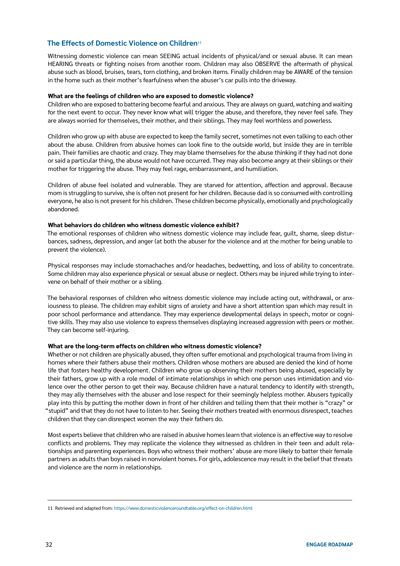#### **The Effects of Domestic Violence on Children**<sup>11</sup>

Witnessing domestic violence can mean SEEING actual incidents of physical/and or sexual abuse. It can mean HEARING threats or fighting noises from another room. Children may also OBSERVE the aftermath of physical abuse such as blood, bruises, tears, torn clothing, and broken items. Finally children may be AWARE of the tension in the home such as their mother's fearfulness when the abuser's car pulls into the driveway.

#### **What are the feelings of children who are exposed to domestic violence?**

Children who are exposed to battering become fearful and anxious. They are always on guard, watching and waiting for the next event to occur. They never know what will trigger the abuse, and therefore, they never feel safe. They are always worried for themselves, their mother, and their siblings. They may feel worthless and powerless.

Children who grow up with abuse are expected to keep the family secret, sometimes not even talking to each other about the abuse. Children from abusive homes can look fine to the outside world, but inside they are in terrible pain. Their families are chaotic and crazy. They may blame themselves for the abuse thinking if they had not done or said a particular thing, the abuse would not have occurred. They may also become angry at their siblings or their mother for triggering the abuse. They may feel rage, embarrassment, and humiliation.

Children of abuse feel isolated and vulnerable. They are starved for attention, affection and approval. Because mom is struggling to survive, she is often not present for her children. Because dad is so consumed with controlling everyone, he also is not present for his children. These children become physically, emotionally and psychologically abandoned.

#### **What behaviors do children who witness domestic violence exhibit?**

The emotional responses of children who witness domestic violence may include fear, guilt, shame, sleep disturbances, sadness, depression, and anger (at both the abuser for the violence and at the mother for being unable to prevent the violence).

Physical responses may include stomachaches and/or headaches, bedwetting, and loss of ability to concentrate. Some children may also experience physical or sexual abuse or neglect. Others may be injured while trying to intervene on behalf of their mother or a sibling.

The behavioral responses of children who witness domestic violence may include acting out, withdrawal, or anxiousness to please. The children may exhibit signs of anxiety and have a short attention span which may result in poor school performance and attendance. They may experience developmental delays in speech, motor or cognitive skills. They may also use violence to express themselves displaying increased aggression with peers or mother. They can become self-injuring.

#### **What are the long-term effects on children who witness domestic violence?**

Whether or not children are physically abused, they often suffer emotional and psychological trauma from living in homes where their fathers abuse their mothers. Children whose mothers are abused are denied the kind of home life that fosters healthy development. Children who grow up observing their mothers being abused, especially by their fathers, grow up with a role model of intimate relationships in which one person uses intimidation and violence over the other person to get their way. Because children have a natural tendency to identify with strength, they may ally themselves with the abuser and lose respect for their seemingly helpless mother. Abusers typically play into this by putting the mother down in front of her children and telling them that their mother is "crazy" or "stupid" and that they do not have to listen to her. Seeing their mothers treated with enormous disrespect, teaches children that they can disrespect women the way their fathers do.

Most experts believe that children who are raised in abusive homes learn that violence is an effective way to resolve conflicts and problems. They may replicate the violence they witnessed as children in their teen and adult relationships and parenting experiences. Boys who witness their mothers' abuse are more likely to batter their female partners as adults than boys raised in nonviolent homes. For girls, adolescence may result in the belief that threats and violence are the norm in relationships.

<sup>11</sup> Retrieved and adapted from: <https://www.domesticviolenceroundtable.org/effect-on-children.html>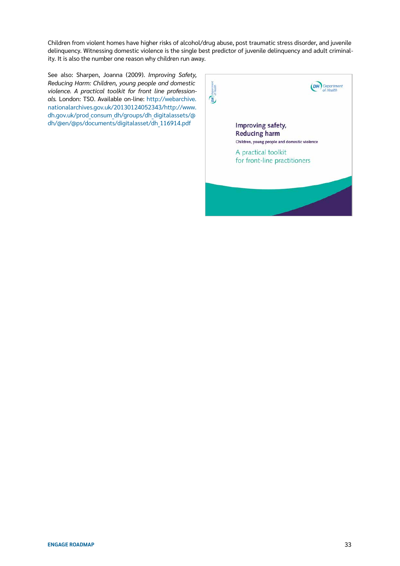Children from violent homes have higher risks of alcohol/drug abuse, post traumatic stress disorder, and juvenile delinquency. Witnessing domestic violence is the single best predictor of juvenile delinquency and adult criminality. It is also the number one reason why children run away.

See also: Sharpen, Joanna (2009). *Improving Safety, Reducing Harm: Children, young people and domestic violence. A practical toolkit for front line professionals.* London: TSO. Available on-line[: http://webarchive.](http://webarchive.nationalarchives.gov.uk/20130124052343/http://www.dh.gov.uk/prod_consum_dh/groups/dh_digitalassets/@dh/@en/@ps/documents/digitalasset/dh_116914.pdf) [nationalarchives.gov.uk/20130124052343/http://www.](http://webarchive.nationalarchives.gov.uk/20130124052343/http://www.dh.gov.uk/prod_consum_dh/groups/dh_digitalassets/@dh/@en/@ps/documents/digitalasset/dh_116914.pdf) [dh.gov.uk/prod\\_consum\\_dh/groups/dh\\_digitalassets/@](http://webarchive.nationalarchives.gov.uk/20130124052343/http://www.dh.gov.uk/prod_consum_dh/groups/dh_digitalassets/@dh/@en/@ps/documents/digitalasset/dh_116914.pdf) [dh/@en/@ps/documents/digitalasset/dh\\_116914.pdf](http://webarchive.nationalarchives.gov.uk/20130124052343/http://www.dh.gov.uk/prod_consum_dh/groups/dh_digitalassets/@dh/@en/@ps/documents/digitalasset/dh_116914.pdf)

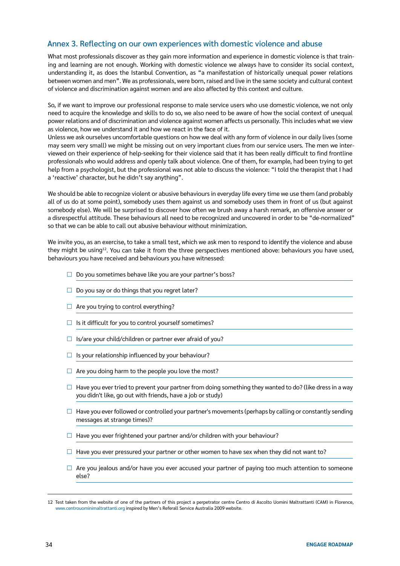#### Annex 3. Reflecting on our own experiences with domestic violence and abuse

What most professionals discover as they gain more information and experience in domestic violence is that training and learning are not enough. Working with domestic violence we always have to consider its social context, understanding it, as does the Istanbul Convention, as "a manifestation of historically unequal power relations between women and men". We as professionals, were born, raised and live in the same society and cultural context of violence and discrimination against women and are also affected by this context and culture.

So, if we want to improve our professional response to male service users who use domestic violence, we not only need to acquire the knowledge and skills to do so, we also need to be aware of how the social context of unequal power relations and of discrimination and violence against women affects us personally. This includes what we view as violence, how we understand it and how we react in the face of it.

Unless we ask ourselves uncomfortable questions on how we deal with any form of violence in our daily lives (some may seem very small) we might be missing out on very important clues from our service users. The men we interviewed on their experience of help-seeking for their violence said that it has been really difficult to find frontline professionals who would address and openly talk about violence. One of them, for example, had been trying to get help from a psychologist, but the professional was not able to discuss the violence: "I told the therapist that I had a 'reactive' character, but he didn't say anything".

We should be able to recognize violent or abusive behaviours in everyday life every time we use them (and probably all of us do at some point), somebody uses them against us and somebody uses them in front of us (but against somebody else). We will be surprised to discover how often we brush away a harsh remark, an offensive answer or a disrespectful attitude. These behaviours all need to be recognized and uncovered in order to be "de-normalized" so that we can be able to call out abusive behaviour without minimization.

We invite you, as an exercise, to take a small test, which we ask men to respond to identify the violence and abuse they might be using12. You can take it from the three perspectives mentioned above: behaviours you have used, behaviours you have received and behaviours you have witnessed:

- $\Box$  Do you sometimes behave like you are your partner's boss?
- $\Box$  Do you say or do things that you regret later?
- $\Box$  Are you trying to control everything?
- $\Box$  Is it difficult for you to control yourself sometimes?
- $\Box$  Is/are your child/children or partner ever afraid of you?
- $\Box$  Is your relationship influenced by your behaviour?
- $\Box$  Are you doing harm to the people you love the most?
- $\Box$  Have you ever tried to prevent your partner from doing something they wanted to do? (like dress in a way you didn't like, go out with friends, have a job or study)
- $\Box$  Have you ever followed or controlled your partner's movements (perhaps by calling or constantly sending messages at strange times)?
- $\Box$  Have you ever frightened your partner and/or children with your behaviour?
- $\Box$  Have you ever pressured your partner or other women to have sex when they did not want to?
- $\Box$  Are you jealous and/or have you ever accused your partner of paying too much attention to someone else?

<sup>12</sup> Test taken from the website of one of the partners of this project a perpetrator centre Centro di Ascolto Uomini Maltrattanti (CAM) in Florence, [www.centrouominimaltrattanti.org](http://www.centrouominimaltrattanti.org) inspired by Men's Referall Service Australia 2009 website.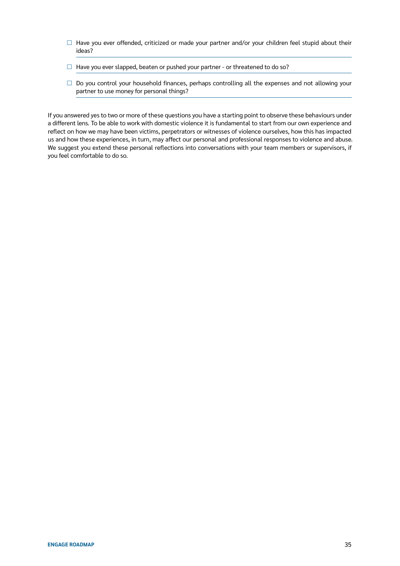- $\Box$  Have you ever offended, criticized or made your partner and/or your children feel stupid about their ideas?
- $\Box$  Have you ever slapped, beaten or pushed your partner or threatened to do so?
- $\square$  Do you control your household finances, perhaps controlling all the expenses and not allowing your partner to use money for personal things?

If you answered yes to two or more of these questions you have a starting point to observe these behaviours under a different lens. To be able to work with domestic violence it is fundamental to start from our own experience and reflect on how we may have been victims, perpetrators or witnesses of violence ourselves, how this has impacted us and how these experiences, in turn, may affect our personal and professional responses to violence and abuse. We suggest you extend these personal reflections into conversations with your team members or supervisors, if you feel comfortable to do so.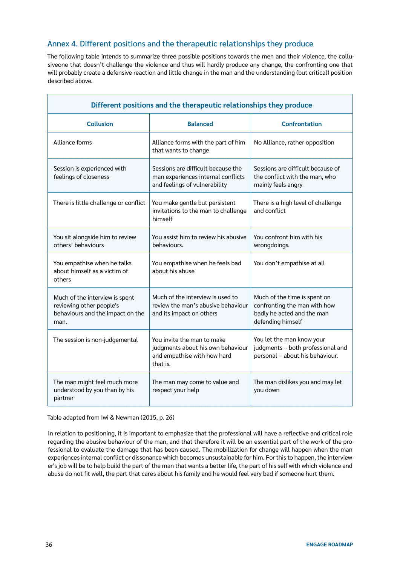#### Annex 4. Different positions and the therapeutic relationships they produce

The following table intends to summarize three possible positions towards the men and their violence, the collusiveone that doesn't challenge the violence and thus will hardly produce any change, the confronting one that will probably create a defensive reaction and little change in the man and the understanding (but critical) position described above.

| Different positions and the therapeutic relationships they produce                                     |                                                                                                            |                                                                                                                 |  |  |  |
|--------------------------------------------------------------------------------------------------------|------------------------------------------------------------------------------------------------------------|-----------------------------------------------------------------------------------------------------------------|--|--|--|
| <b>Collusion</b>                                                                                       | <b>Balanced</b>                                                                                            | <b>Confrontation</b>                                                                                            |  |  |  |
| Alliance forms                                                                                         | Alliance forms with the part of him<br>that wants to change                                                | No Alliance, rather opposition                                                                                  |  |  |  |
| Session is experienced with<br>feelings of closeness                                                   | Sessions are difficult because the<br>man experiences internal conflicts<br>and feelings of vulnerability  | Sessions are difficult because of<br>the conflict with the man, who<br>mainly feels angry                       |  |  |  |
| There is little challenge or conflict                                                                  | You make gentle but persistent<br>invitations to the man to challenge<br>himself                           | There is a high level of challenge<br>and conflict                                                              |  |  |  |
| You sit alongside him to review<br>others' behaviours                                                  | You assist him to review his abusive<br>behaviours.                                                        | You confront him with his<br>wrongdoings.                                                                       |  |  |  |
| You empathise when he talks<br>about himself as a victim of<br>others                                  | You empathise when he feels bad<br>about his abuse                                                         | You don't empathise at all                                                                                      |  |  |  |
| Much of the interview is spent<br>reviewing other people's<br>behaviours and the impact on the<br>man. | Much of the interview is used to<br>review the man's abusive behaviour<br>and its impact on others         | Much of the time is spent on<br>confronting the man with how<br>badly he acted and the man<br>defending himself |  |  |  |
| The session is non-judgemental                                                                         | You invite the man to make<br>judgments about his own behaviour<br>and empathise with how hard<br>that is. | You let the man know your<br>judgments - both professional and<br>personal - about his behaviour.               |  |  |  |
| The man might feel much more<br>understood by you than by his<br>partner                               | The man may come to value and<br>respect your help                                                         | The man dislikes you and may let<br>you down                                                                    |  |  |  |

Table adapted from Iwi & Newman (2015, p. 26)

In relation to positioning, it is important to emphasize that the professional will have a reflective and critical role regarding the abusive behaviour of the man, and that therefore it will be an essential part of the work of the professional to evaluate the damage that has been caused. The mobilization for change will happen when the man experiences internal conflict or dissonance which becomes unsustainable for him. For this to happen, the interviewer's job will be to help build the part of the man that wants a better life, the part of his self with which violence and abuse do not fit well, the part that cares about his family and he would feel very bad if someone hurt them.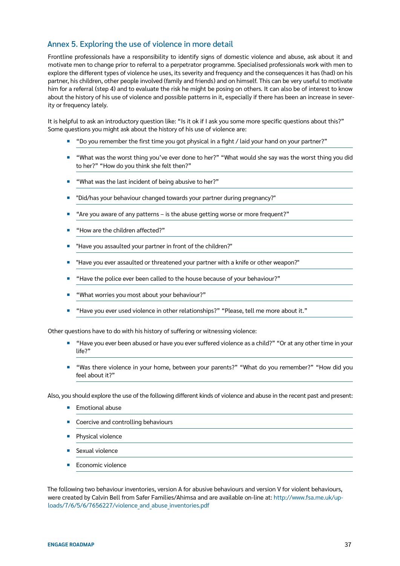#### Annex 5. Exploring the use of violence in more detail

Frontline professionals have a responsibility to identify signs of domestic violence and abuse, ask about it and motivate men to change prior to referral to a perpetrator programme. Specialised professionals work with men to explore the different types of violence he uses, its severity and frequency and the consequences it has (had) on his partner, his children, other people involved (family and friends) and on himself. This can be very useful to motivate him for a referral (step 4) and to evaluate the risk he might be posing on others. It can also be of interest to know about the history of his use of violence and possible patterns in it, especially if there has been an increase in severity or frequency lately.

It is helpful to ask an introductory question like: "Is it ok if I ask you some more specific questions about this?" Some questions you might ask about the history of his use of violence are:

- ¡ "Do you remember the first time you got physical in a fight / laid your hand on your partner?"
- "What was the worst thing you've ever done to her?" "What would she say was the worst thing you did to her?" "How do you think she felt then?"
- "What was the last incident of being abusive to her?"
- ¡ "Did/has your behaviour changed towards your partner during pregnancy?"
- ¡ "Are you aware of any patterns is the abuse getting worse or more frequent?"
- ¡ "How are the children affected?"
- "Have you assaulted your partner in front of the children?"
- ¡ "Have you ever assaulted or threatened your partner with a knife or other weapon?"
- ¡ "Have the police ever been called to the house because of your behaviour?"
- ¡ "What worries you most about your behaviour?"
- ¡ "Have you ever used violence in other relationships?" "Please, tell me more about it."

Other questions have to do with his history of suffering or witnessing violence:

- ¡ "Have you ever been abused or have you ever suffered violence as a child?" "Or at any other time in your life?"
- "Was there violence in your home, between your parents?" "What do you remember?" "How did you feel about it?"

Also, you should explore the use of the following different kinds of violence and abuse in the recent past and present:

- Emotional abuse
- Coercive and controlling behaviours
- Physical violence
- Sexual violence
- **EXECONOMIC Viol[e](http://www.fsa.me.uk/uploads/7/6/5/6/7656227/violence_and_abuse_inventories.pdf)nce**

The following two behaviour inventories, version A for abusive behaviours and version V for violent behaviours, were created by Calvin Bell from Safer Families/Ahimsa and are available on-line at: [http://www.fsa.me.uk/up](http://www.fsa.me.uk/uploads/7/6/5/6/7656227/violence_and_abuse_inventories.pdf)[loads/7/6/5/6/7656227/violence\\_and\\_abuse\\_inventories.pdf](http://www.fsa.me.uk/uploads/7/6/5/6/7656227/violence_and_abuse_inventories.pdf)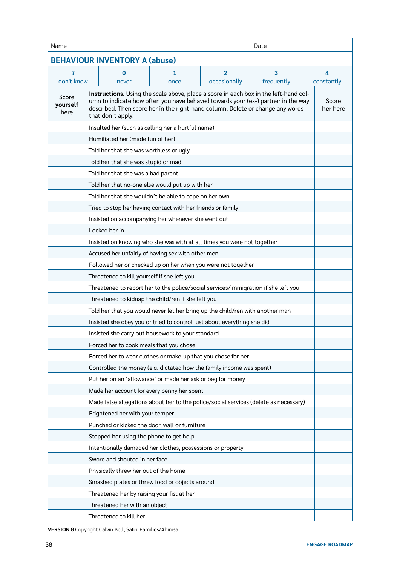| Name<br>Date                         |                                                                                                                                                                                                                                                                                 |      |              |            |   |                   |
|--------------------------------------|---------------------------------------------------------------------------------------------------------------------------------------------------------------------------------------------------------------------------------------------------------------------------------|------|--------------|------------|---|-------------------|
| <b>BEHAVIOUR INVENTORY A (abuse)</b> |                                                                                                                                                                                                                                                                                 |      |              |            |   |                   |
| ?                                    | $\overline{\mathbf{3}}$<br>1<br>$\overline{2}$<br>0                                                                                                                                                                                                                             |      |              |            | 4 |                   |
| don't know                           | never                                                                                                                                                                                                                                                                           | once | occasionally | frequently |   | constantly        |
| Score<br>yourself<br>here            | Instructions. Using the scale above, place a score in each box in the left-hand col-<br>umn to indicate how often you have behaved towards your (ex-) partner in the way<br>described. Then score her in the right-hand column. Delete or change any words<br>that don't apply. |      |              |            |   | Score<br>her here |
|                                      | Insulted her (such as calling her a hurtful name)                                                                                                                                                                                                                               |      |              |            |   |                   |
|                                      | Humiliated her (made fun of her)                                                                                                                                                                                                                                                |      |              |            |   |                   |
|                                      | Told her that she was worthless or ugly                                                                                                                                                                                                                                         |      |              |            |   |                   |
|                                      | Told her that she was stupid or mad                                                                                                                                                                                                                                             |      |              |            |   |                   |
|                                      | Told her that she was a bad parent                                                                                                                                                                                                                                              |      |              |            |   |                   |
|                                      | Told her that no-one else would put up with her                                                                                                                                                                                                                                 |      |              |            |   |                   |
|                                      | Told her that she wouldn't be able to cope on her own                                                                                                                                                                                                                           |      |              |            |   |                   |
|                                      | Tried to stop her having contact with her friends or family                                                                                                                                                                                                                     |      |              |            |   |                   |
|                                      | Insisted on accompanying her whenever she went out                                                                                                                                                                                                                              |      |              |            |   |                   |
|                                      | Locked her in                                                                                                                                                                                                                                                                   |      |              |            |   |                   |
|                                      | Insisted on knowing who she was with at all times you were not together                                                                                                                                                                                                         |      |              |            |   |                   |
|                                      | Accused her unfairly of having sex with other men                                                                                                                                                                                                                               |      |              |            |   |                   |
|                                      | Followed her or checked up on her when you were not together                                                                                                                                                                                                                    |      |              |            |   |                   |
|                                      | Threatened to kill yourself if she left you                                                                                                                                                                                                                                     |      |              |            |   |                   |
|                                      | Threatened to report her to the police/social services/immigration if she left you                                                                                                                                                                                              |      |              |            |   |                   |
|                                      | Threatened to kidnap the child/ren if she left you                                                                                                                                                                                                                              |      |              |            |   |                   |
|                                      | Told her that you would never let her bring up the child/ren with another man                                                                                                                                                                                                   |      |              |            |   |                   |
|                                      | Insisted she obey you or tried to control just about everything she did                                                                                                                                                                                                         |      |              |            |   |                   |
|                                      | Insisted she carry out housework to your standard                                                                                                                                                                                                                               |      |              |            |   |                   |
|                                      | Forced her to cook meals that you chose                                                                                                                                                                                                                                         |      |              |            |   |                   |
|                                      | Forced her to wear clothes or make-up that you chose for her                                                                                                                                                                                                                    |      |              |            |   |                   |
|                                      | Controlled the money (e.g. dictated how the family income was spent)                                                                                                                                                                                                            |      |              |            |   |                   |
|                                      | Put her on an 'allowance' or made her ask or beg for money                                                                                                                                                                                                                      |      |              |            |   |                   |
|                                      | Made her account for every penny her spent                                                                                                                                                                                                                                      |      |              |            |   |                   |
|                                      | Made false allegations about her to the police/social services (delete as necessary)                                                                                                                                                                                            |      |              |            |   |                   |
|                                      | Frightened her with your temper                                                                                                                                                                                                                                                 |      |              |            |   |                   |
|                                      | Punched or kicked the door, wall or furniture                                                                                                                                                                                                                                   |      |              |            |   |                   |
|                                      | Stopped her using the phone to get help                                                                                                                                                                                                                                         |      |              |            |   |                   |
|                                      | Intentionally damaged her clothes, possessions or property                                                                                                                                                                                                                      |      |              |            |   |                   |
|                                      | Swore and shouted in her face                                                                                                                                                                                                                                                   |      |              |            |   |                   |
|                                      | Physically threw her out of the home                                                                                                                                                                                                                                            |      |              |            |   |                   |
|                                      | Smashed plates or threw food or objects around                                                                                                                                                                                                                                  |      |              |            |   |                   |
|                                      | Threatened her by raising your fist at her                                                                                                                                                                                                                                      |      |              |            |   |                   |
|                                      | Threatened her with an object                                                                                                                                                                                                                                                   |      |              |            |   |                   |
|                                      | Threatened to kill her                                                                                                                                                                                                                                                          |      |              |            |   |                   |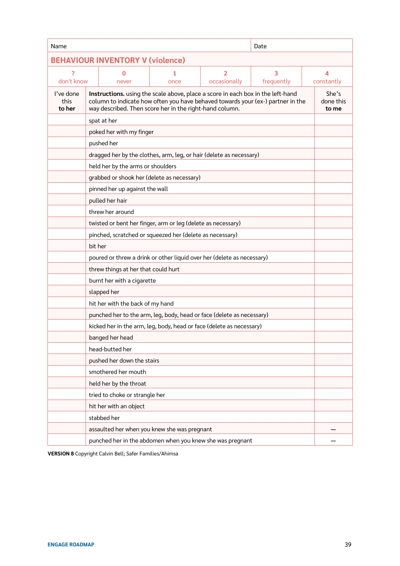| Name                                    |                                                                                                                                                                                                                               |  |  | Date |                             |  |
|-----------------------------------------|-------------------------------------------------------------------------------------------------------------------------------------------------------------------------------------------------------------------------------|--|--|------|-----------------------------|--|
| <b>BEHAVIOUR INVENTORY V (violence)</b> |                                                                                                                                                                                                                               |  |  |      |                             |  |
| 2<br>don't know                         | 3<br>$\overline{2}$<br>1<br>0<br>occasionally<br>frequently<br>once<br>never                                                                                                                                                  |  |  |      | 4<br>constantly             |  |
| I've done<br>this<br>to her             | Instructions. using the scale above, place a score in each box in the left-hand<br>column to indicate how often you have behaved towards your (ex-) partner in the<br>way described. Then score her in the right-hand column. |  |  |      | She's<br>done this<br>to me |  |
|                                         | spat at her                                                                                                                                                                                                                   |  |  |      |                             |  |
|                                         | poked her with my finger                                                                                                                                                                                                      |  |  |      |                             |  |
|                                         | pushed her                                                                                                                                                                                                                    |  |  |      |                             |  |
|                                         | dragged her by the clothes, arm, leg, or hair (delete as necessary)                                                                                                                                                           |  |  |      |                             |  |
|                                         | held her by the arms or shoulders                                                                                                                                                                                             |  |  |      |                             |  |
|                                         | grabbed or shook her (delete as necessary)                                                                                                                                                                                    |  |  |      |                             |  |
|                                         | pinned her up against the wall                                                                                                                                                                                                |  |  |      |                             |  |
|                                         | pulled her hair                                                                                                                                                                                                               |  |  |      |                             |  |
|                                         | threw her around                                                                                                                                                                                                              |  |  |      |                             |  |
|                                         | twisted or bent her finger, arm or leg (delete as necessary)                                                                                                                                                                  |  |  |      |                             |  |
|                                         | pinched, scratched or squeezed her (delete as necessary)                                                                                                                                                                      |  |  |      |                             |  |
|                                         | bit her                                                                                                                                                                                                                       |  |  |      |                             |  |
|                                         | poured or threw a drink or other liquid over her (delete as necessary)                                                                                                                                                        |  |  |      |                             |  |
|                                         | threw things at her that could hurt                                                                                                                                                                                           |  |  |      |                             |  |
|                                         | burnt her with a cigarette                                                                                                                                                                                                    |  |  |      |                             |  |
|                                         | slapped her                                                                                                                                                                                                                   |  |  |      |                             |  |
|                                         | hit her with the back of my hand                                                                                                                                                                                              |  |  |      |                             |  |
|                                         | punched her to the arm, leg, body, head or face (delete as necessary)                                                                                                                                                         |  |  |      |                             |  |
|                                         | kicked her in the arm, leg, body, head or face (delete as necessary)                                                                                                                                                          |  |  |      |                             |  |
|                                         | banged her head                                                                                                                                                                                                               |  |  |      |                             |  |
|                                         | head-butted her                                                                                                                                                                                                               |  |  |      |                             |  |
|                                         | pushed her down the stairs                                                                                                                                                                                                    |  |  |      |                             |  |
|                                         | smothered her mouth                                                                                                                                                                                                           |  |  |      |                             |  |
|                                         | held her by the throat                                                                                                                                                                                                        |  |  |      |                             |  |
|                                         | tried to choke or strangle her                                                                                                                                                                                                |  |  |      |                             |  |
|                                         | hit her with an object                                                                                                                                                                                                        |  |  |      |                             |  |
|                                         | stabbed her                                                                                                                                                                                                                   |  |  |      |                             |  |
|                                         | assaulted her when you knew she was pregnant                                                                                                                                                                                  |  |  |      |                             |  |
|                                         | punched her in the abdomen when you knew she was pregnant                                                                                                                                                                     |  |  |      |                             |  |

**VERSION 8** Copyright Calvin Bell; Safer Families/Ahimsa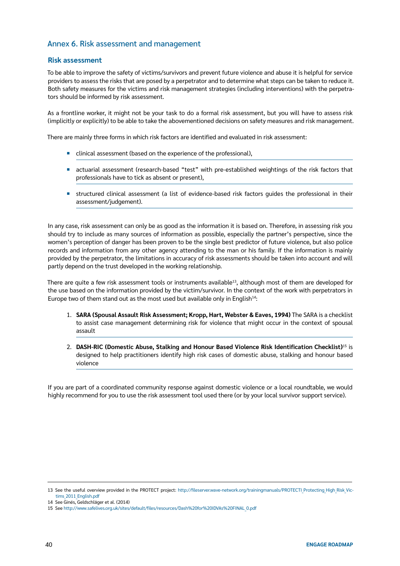#### Annex 6. Risk assessment and management

#### **Risk assessment**

To be able to improve the safety of victims/survivors and prevent future violence and abuse it is helpful for service providers to assess the risks that are posed by a perpetrator and to determine what steps can be taken to reduce it. Both safety measures for the victims and risk management strategies (including interventions) with the perpetrators should be informed by risk assessment.

As a frontline worker, it might not be your task to do a formal risk assessment, but you will have to assess risk (implicitly or explicitly) to be able to take the abovementioned decisions on safety measures and risk management.

There are mainly three forms in which risk factors are identified and evaluated in risk assessment:

- ¡ clinical assessment (based on the experience of the professional),
- actuarial assessment (research-based "test" with pre-established weightings of the risk factors that professionals have to tick as absent or present),
- ¡ structured clinical assessment (a list of evidence-based risk factors guides the professional in their assessment/judgement).

In any case, risk assessment can only be as good as the information it is based on. Therefore, in assessing risk you should try to include as many sources of information as possible, especially the partner's perspective, since the women's perception of danger has been proven to be the single best predictor of future violence, but also police records and information from any other agency attending to the man or his family. If the information is mainly provided by the perpetrator, the limitations in accuracy of risk assessments should be taken into account and will partly depend on the trust developed in the working relationship.

There are quite a few risk assessment tools or instruments available<sup>13</sup>, although most of them are developed for the use based on the information provided by the victim/survivor. In the context of the work with perpetrators in Europe two of them stand out as the most used but available only in English<sup>14</sup>:

- 1. **SARA (Spousal Assault Risk Assessment; Kropp, Hart, Webster & Eaves, 1994)** The SARA is a checklist to assist case management determining risk for violence that might occur in the context of spousal assault
- 2. **DASH-RIC (Domestic Abuse, Stalking and Honour Based Violence Risk Identification Checklist)**15 is designed to help practitioners identify high risk cases of domestic abuse, stalking and honour based violence

If you are part of a coordinated community response against domestic violence or a local roundtable, we would highly recommend for you to use the risk assessment tool used there (or by your local survivor support service).

<sup>13</sup> See the useful overview provided in the PROTECT project: http://fileserver.wave-network.org/trainingmanuals/PROTECTI Protecting High Risk Victims 2011 English.pdf

<sup>14</sup> See Ginés, Geldschläger et al. (2014)

<sup>15</sup> See [http://www.safelives.org.uk/sites/default/files/resources/Dash%20for%20IDVAs%20FINAL\\_0.pdf](http://www.safelives.org.uk/sites/default/files/resources/Dash%20for%20IDVAs%20FINAL_0.pdf)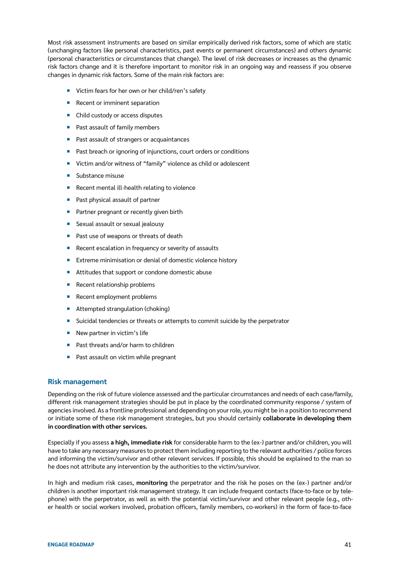Most risk assessment instruments are based on similar empirically derived risk factors, some of which are static (unchanging factors like personal characteristics, past events or permanent circumstances) and others dynamic (personal characteristics or circumstances that change). The level of risk decreases or increases as the dynamic risk factors change and it is therefore important to monitor risk in an ongoing way and reassess if you observe changes in dynamic risk factors. Some of the main risk factors are:

- Victim fears for her own or her child/ren's safety
- Recent or imminent separation
- Child custody or access disputes
- Past assault of family members
- Past assault of strangers or acquaintances
- Past breach or ignoring of injunctions, court orders or conditions
- Victim and/or witness of "family" violence as child or adolescent
- Substance misuse
- Recent mental ill-health relating to violence
- Past physical assault of partner
- Partner pregnant or recently given birth
- Sexual assault or sexual jealousy
- Past use of weapons or threats of death
- Recent escalation in frequency or severity of assaults
- Extreme minimisation or denial of domestic violence history
- Attitudes that support or condone domestic abuse
- Recent relationship problems
- Recent employment problems
- Attempted strangulation (choking)
- Suicidal tendencies or threats or attempts to commit suicide by the perpetrator
- New partner in victim's life
- Past threats and/or harm to children
- Past assault on victim while pregnant

#### **Risk management**

Depending on the risk of future violence assessed and the particular circumstances and needs of each case/family, different risk management strategies should be put in place by the coordinated community response / system of agencies involved. As a frontline professional and depending on your role, you might be in a position to recommend or initiate some of these risk management strategies, but you should certainly **collaborate in developing them in coordination with other services.**

Especially if you assess **a high, immediate risk** for considerable harm to the (ex-) partner and/or children, you will have to take any necessary measures to protect them including reporting to the relevant authorities / police forces and informing the victim/survivor and other relevant services. If possible, this should be explained to the man so he does not attribute any intervention by the authorities to the victim/survivor.

In high and medium risk cases, **monitoring** the perpetrator and the risk he poses on the (ex-) partner and/or children is another important risk management strategy. It can include frequent contacts (face-to-face or by telephone) with the perpetrator, as well as with the potential victim/survivor and other relevant people (e.g., other health or social workers involved, probation officers, family members, co-workers) in the form of face-to-face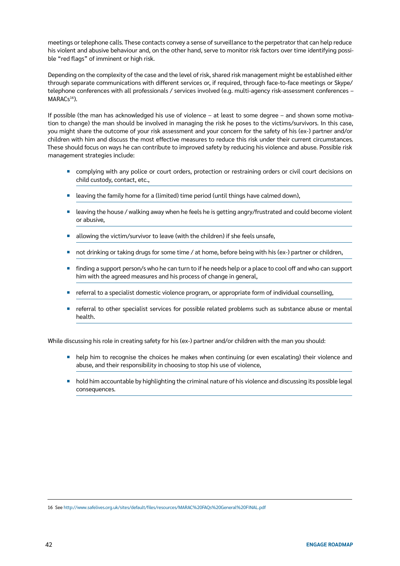meetings or telephone calls. These contacts convey a sense of surveillance to the perpetrator that can help reduce his violent and abusive behaviour and, on the other hand, serve to monitor risk factors over time identifying possible "red flags" of imminent or high risk.

Depending on the complexity of the case and the level of risk, shared risk management might be established either through separate communications with different services or, if required, through face-to-face meetings or Skype/ telephone conferences with all professionals / services involved (e.g. multi-agency risk-assessment conferences – MARACs<sup>16</sup>).

If possible (the man has acknowledged his use of violence – at least to some degree – and shown some motivation to change) the man should be involved in managing the risk he poses to the victims/survivors. In this case, you might share the outcome of your risk assessment and your concern for the safety of his (ex-) partner and/or children with him and discuss the most effective measures to reduce this risk under their current circumstances. These should focus on ways he can contribute to improved safety by reducing his violence and abuse. Possible risk management strategies include:

- complying with any police or court orders, protection or restraining orders or civil court decisions on child custody, contact, etc.,
- $\blacksquare$  leaving the family home for a (limited) time period (until things have calmed down),
- leaving the house / walking away when he feels he is getting angry/frustrated and could become violent or abusive,
- allowing the victim/survivor to leave (with the children) if she feels unsafe,
- not drinking or taking drugs for some time / at home, before being with his (ex-) partner or children,
- ¡ finding a support person/s who he can turn to if he needs help or a place to cool off and who can support him with the agreed measures and his process of change in general,
- ¡ referral to a specialist domestic violence program, or appropriate form of individual counselling,
- referral to other specialist services for possible related problems such as substance abuse or mental health.

While discussing his role in creating safety for his (ex-) partner and/or children with the man you should:

- help him to recognise the choices he makes when continuing (or even escalating) their violence and abuse, and their responsibility in choosing to stop his use of violence,
- ¡ hold him accountable by highlighting the criminal nature of his violence and discussing its possible legal consequences.

16 See <http://www.safelives.org.uk/sites/default/files/resources/MARAC%20FAQs%20General%20FINAL.pdf>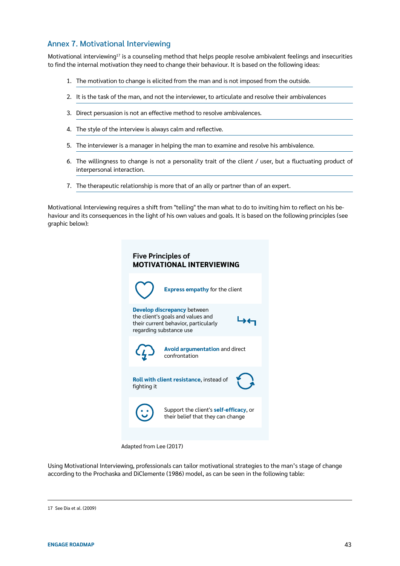#### Annex 7. Motivational Interviewing

Motivational interviewing<sup>17</sup> is a counseling method that helps people resolve ambivalent feelings and insecurities to find the internal motivation they need to change their behaviour. It is based on the following ideas:

- 1. The motivation to change is elicited from the man and is not imposed from the outside.
- 2. It is the task of the man, and not the interviewer, to articulate and resolve their ambivalences
- 3. Direct persuasion is not an effective method to resolve ambivalences.
- 4. The style of the interview is always calm and reflective.
- 5. The interviewer is a manager in helping the man to examine and resolve his ambivalence.
- 6. The willingness to change is not a personality trait of the client / user, but a fluctuating product of interpersonal interaction.
- 7. The therapeutic relationship is more that of an ally or partner than of an expert.

Motivational Interviewing requires a shift from "telling" the man what to do to inviting him to reflect on his behaviour and its consequences in the light of his own values and goals. It is based on the following principles (see graphic below):

| <b>Five Principles of</b><br><b>MOTIVATIONAL INTERVIEWING</b> |                                                                                                                                     |  |  |  |  |  |
|---------------------------------------------------------------|-------------------------------------------------------------------------------------------------------------------------------------|--|--|--|--|--|
|                                                               | <b>Express empathy for the client</b>                                                                                               |  |  |  |  |  |
|                                                               | Develop discrepancy between<br>the client's goals and values and<br>their current behavior, particularly<br>regarding substance use |  |  |  |  |  |
|                                                               | <b>Avoid argumentation and direct<br/>confrontation</b>                                                                             |  |  |  |  |  |
| fighting it                                                   | Roll with client resistance, instead of                                                                                             |  |  |  |  |  |
|                                                               | Support the client's <b>self-efficacy</b> , or<br>their belief that they can change                                                 |  |  |  |  |  |
|                                                               |                                                                                                                                     |  |  |  |  |  |

Adapted from Lee (2017)

Using MotivationaI Interviewing, professionals can tailor motivational strategies to the man's stage of change according to the Prochaska and DiClemente (1986) model, as can be seen in the following table:

<sup>17</sup> See Dia et al. (2009)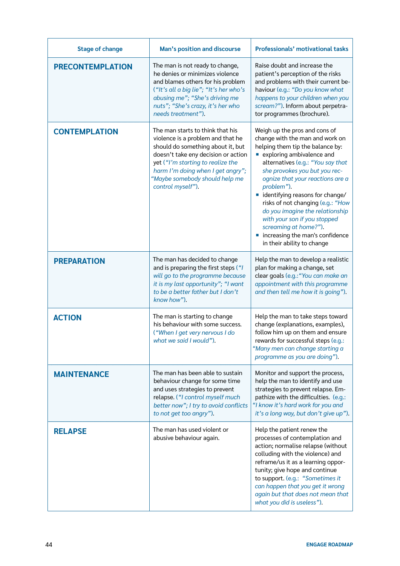| <b>Stage of change</b>  | Man's position and discourse                                                                                                                                                                                                                                                       | <b>Professionals' motivational tasks</b>                                                                                                                                                                                                                                                                                                                                                                                                                                                                  |
|-------------------------|------------------------------------------------------------------------------------------------------------------------------------------------------------------------------------------------------------------------------------------------------------------------------------|-----------------------------------------------------------------------------------------------------------------------------------------------------------------------------------------------------------------------------------------------------------------------------------------------------------------------------------------------------------------------------------------------------------------------------------------------------------------------------------------------------------|
| <b>PRECONTEMPLATION</b> | The man is not ready to change,<br>he denies or minimizes violence<br>and blames others for his problem<br>("It's all a big lie"; "It's her who's<br>abusing me"; "She's driving me<br>nuts"; "She's crazy, it's her who<br>needs treatment").                                     | Raise doubt and increase the<br>patient's perception of the risks<br>and problems with their current be-<br>haviour (e.g.: "Do you know what<br>happens to your children when you<br>scream?"). Inform about perpetra-<br>tor programmes (brochure).                                                                                                                                                                                                                                                      |
| <b>CONTEMPLATION</b>    | The man starts to think that his<br>violence is a problem and that he<br>should do something about it, but<br>doesn't take eny decision or action<br>yet ("I'm starting to realize the<br>harm I'm doing when I get angry";<br>"Maybe somebody should help me<br>control myself"). | Weigh up the pros and cons of<br>change with the man and work on<br>helping them tip the balance by:<br>exploring ambivalence and<br>alternatives (e.g.: "You say that<br>she provokes you but you rec-<br>ognize that your reactions are a<br>problem").<br>identifying reasons for change/<br>×.<br>risks of not changing (e.g.: "How<br>do you imagine the relationship<br>with your son if you stopped<br>screaming at home?").<br>increasing the man's confidence<br>ш<br>in their ability to change |
| <b>PREPARATION</b>      | The man has decided to change<br>and is preparing the first steps ("I<br>will go to the programme because<br>it is my last opportunity"; "I want<br>to be a better father but I don't<br>know how").                                                                               | Help the man to develop a realistic<br>plan for making a change, set<br>clear goals (e.g.: "You can make an<br>appointment with this programme<br>and then tell me how it is going").                                                                                                                                                                                                                                                                                                                     |
| <b>ACTION</b>           | The man is starting to change<br>his behaviour with some success.<br>("When I get very nervous I do<br>what we said I would").                                                                                                                                                     | Help the man to take steps toward<br>change (explanations, examples),<br>follow him up on them and ensure<br>rewards for successful steps (e.g.:<br>"Many men can change starting a<br>programme as you are doing").                                                                                                                                                                                                                                                                                      |
| <b>MAINTENANCE</b>      | The man has been able to sustain<br>behaviour change for some time<br>and uses strategies to prevent<br>relapse. ("I control myself much<br>better now"; I try to avoid conflicts<br>to not get too angry").                                                                       | Monitor and support the process,<br>help the man to identify and use<br>strategies to prevent relapse. Em-<br>pathize with the difficulties. (e.g.:<br>"I know it's hard work for you and<br>it's a long way, but don't give up").                                                                                                                                                                                                                                                                        |
| <b>RELAPSE</b>          | The man has used violent or<br>abusive behaviour again.                                                                                                                                                                                                                            | Help the patient renew the<br>processes of contemplation and<br>action; normalise relapse (without<br>colluding with the violence) and<br>reframe/us it as a learning oppor-<br>tunity; give hope and continue<br>to support. (e.g.: "Sometimes it<br>can happen that you get it wrong<br>again but that does not mean that<br>what you did is useless").                                                                                                                                                 |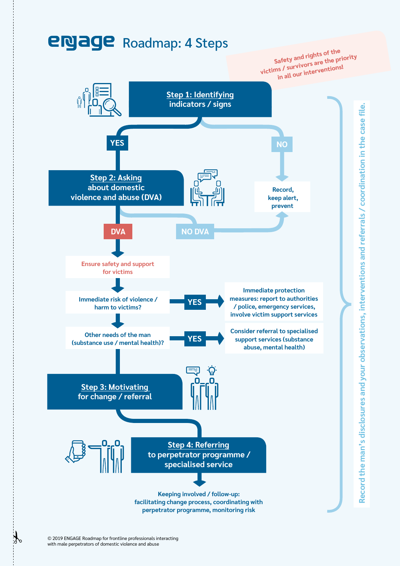

 $\bigcup_{i=1}^n$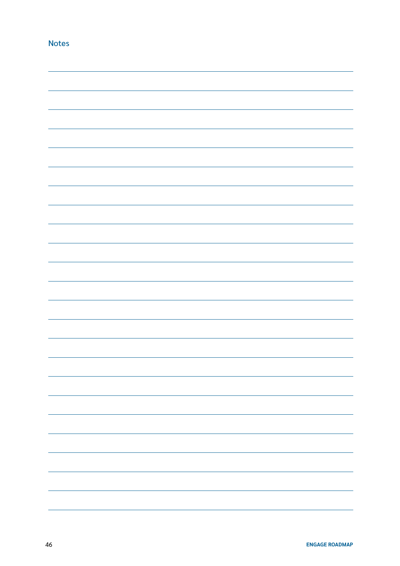|  |  | - |
|--|--|---|
|  |  |   |
|  |  |   |
|  |  |   |
|  |  |   |
|  |  |   |
|  |  |   |
|  |  |   |

Notes